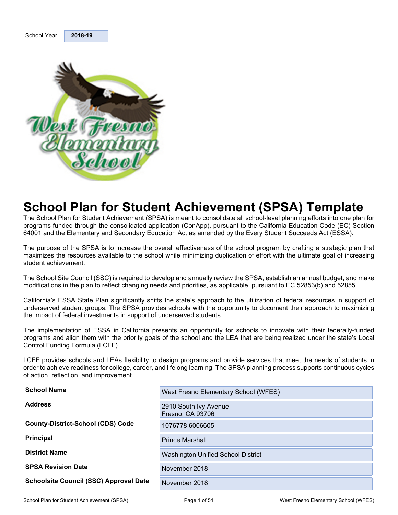<span id="page-0-0"></span>

School Year: **2018-19** 

## **School Plan for Student Achievement (SPSA) Template**

The School Plan for Student Achievement (SPSA) is meant to consolidate all school-level planning efforts into one plan for programs funded through the consolidated application (ConApp), pursuant to the California Education Code (EC) Section 64001 and the Elementary and Secondary Education Act as amended by the Every Student Succeeds Act (ESSA).

The purpose of the SPSA is to increase the overall effectiveness of the school program by crafting a strategic plan that maximizes the resources available to the school while minimizing duplication of effort with the ultimate goal of increasing student achievement.

The School Site Council (SSC) is required to develop and annually review the SPSA, establish an annual budget, and make modifications in the plan to reflect changing needs and priorities, as applicable, pursuant to EC 52853(b) and 52855.

California's ESSA State Plan significantly shifts the state's approach to the utilization of federal resources in support of underserved student groups. The SPSA provides schools with the opportunity to document their approach to maximizing the impact of federal investments in support of underserved students.

The implementation of ESSA in California presents an opportunity for schools to innovate with their federally-funded programs and align them with the priority goals of the school and the LEA that are being realized under the state's Local Control Funding Formula (LCFF).

LCFF provides schools and LEAs flexibility to design programs and provide services that meet the needs of students in order to achieve readiness for college, career, and lifelong learning. The SPSA planning process supports continuous cycles of action, reflection, and improvement.

| <b>School Name</b>                            | West Fresno Elementary School (WFES)      |
|-----------------------------------------------|-------------------------------------------|
| <b>Address</b>                                | 2910 South Ivy Avenue<br>Fresno, CA 93706 |
| <b>County-District-School (CDS) Code</b>      | 1076778 6006605                           |
| <b>Principal</b>                              | <b>Prince Marshall</b>                    |
| <b>District Name</b>                          | Washington Unified School District        |
| <b>SPSA Revision Date</b>                     | November 2018                             |
| <b>Schoolsite Council (SSC) Approval Date</b> | November 2018                             |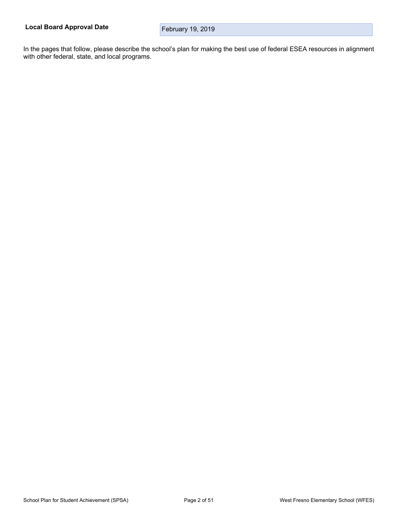In the pages that follow, please describe the school's plan for making the best use of federal ESEA resources in alignment with other federal, state, and local programs.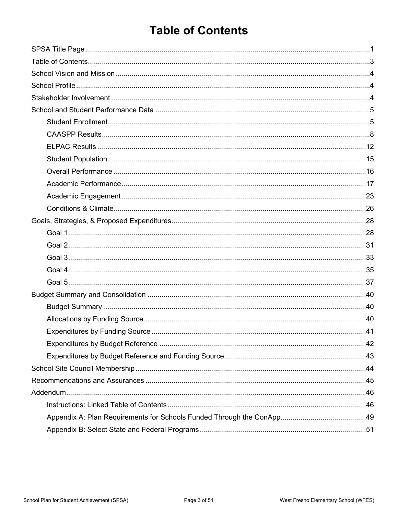## <span id="page-2-0"></span>**Table of Contents**

| 0\tidentification.com/integration.com/integration.com/integration.com/integration.com/integration.com/integration.com/integration.com/integration.com/integration.com/integration.com/integration.com/integration.com/integrat |  |
|--------------------------------------------------------------------------------------------------------------------------------------------------------------------------------------------------------------------------------|--|
|                                                                                                                                                                                                                                |  |
|                                                                                                                                                                                                                                |  |
|                                                                                                                                                                                                                                |  |
|                                                                                                                                                                                                                                |  |
|                                                                                                                                                                                                                                |  |
|                                                                                                                                                                                                                                |  |
|                                                                                                                                                                                                                                |  |
|                                                                                                                                                                                                                                |  |
|                                                                                                                                                                                                                                |  |
|                                                                                                                                                                                                                                |  |
|                                                                                                                                                                                                                                |  |
|                                                                                                                                                                                                                                |  |
|                                                                                                                                                                                                                                |  |
|                                                                                                                                                                                                                                |  |
|                                                                                                                                                                                                                                |  |
|                                                                                                                                                                                                                                |  |
|                                                                                                                                                                                                                                |  |
|                                                                                                                                                                                                                                |  |
|                                                                                                                                                                                                                                |  |
|                                                                                                                                                                                                                                |  |
|                                                                                                                                                                                                                                |  |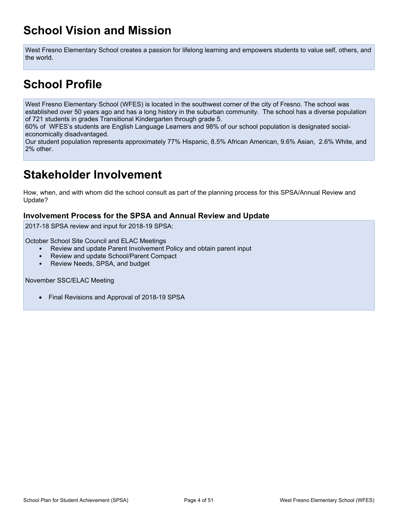## <span id="page-3-0"></span>**School Vision and Mission**

West Fresno Elementary School creates a passion for lifelong learning and empowers students to value self, others, and the world.

## <span id="page-3-1"></span>**School Profile**

West Fresno Elementary School (WFES) is located in the southwest corner of the city of Fresno. The school was established over 50 years ago and has a long history in the suburban community. The school has a diverse population of 721 students in grades Transitional Kindergarten through grade 5.

60% of WFES's students are English Language Learners and 98% of our school population is designated socialeconomically disadvantaged.

Our student population represents approximately 77% Hispanic, 8.5% African American, 9.6% Asian, 2.6% White, and 2% other.

## <span id="page-3-2"></span>**Stakeholder Involvement**

How, when, and with whom did the school consult as part of the planning process for this SPSA/Annual Review and Update?

### **Involvement Process for the SPSA and Annual Review and Update**

2017-18 SPSA review and input for 2018-19 SPSA:

October School Site Council and ELAC Meetings

- Review and update Parent Involvement Policy and obtain parent input
- Review and update School/Parent Compact
- Review Needs, SPSA, and budget

November SSC/ELAC Meeting

• Final Revisions and Approval of 2018-19 SPSA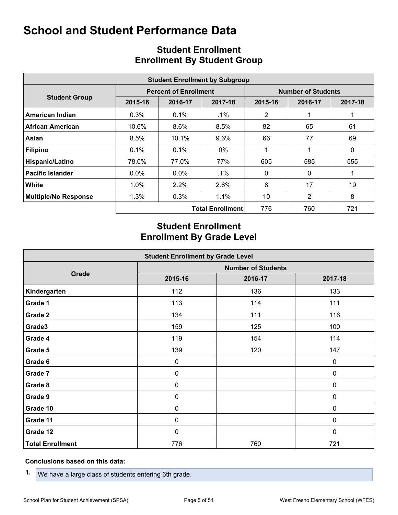<span id="page-4-0"></span>

| <b>Student Enrollment by Subgroup</b> |         |                              |                         |                           |              |         |  |  |  |  |  |
|---------------------------------------|---------|------------------------------|-------------------------|---------------------------|--------------|---------|--|--|--|--|--|
|                                       |         | <b>Percent of Enrollment</b> |                         | <b>Number of Students</b> |              |         |  |  |  |  |  |
| <b>Student Group</b>                  | 2015-16 | 2016-17                      | 2017-18                 | 2015-16                   | 2016-17      | 2017-18 |  |  |  |  |  |
| American Indian                       | 0.3%    | $0.1\%$                      | $.1\%$                  | 2                         |              |         |  |  |  |  |  |
| African American                      | 10.6%   | $8.6\%$                      | 8.5%                    | 82                        | 65           | 61      |  |  |  |  |  |
| Asian                                 | 8.5%    | 10.1%                        | $9.6\%$                 | 66                        | 77           | 69      |  |  |  |  |  |
| <b>Filipino</b>                       | 0.1%    | 0.1%                         | $0\%$                   |                           |              | 0       |  |  |  |  |  |
| Hispanic/Latino                       | 78.0%   | 77.0%                        | 77%                     | 605                       | 585          | 555     |  |  |  |  |  |
| <b>Pacific Islander</b>               | $0.0\%$ | $0.0\%$                      | .1%                     | 0                         | $\mathbf{0}$ |         |  |  |  |  |  |
| White                                 | 1.0%    | $2.2\%$                      | $2.6\%$                 | 8                         | 17           | 19      |  |  |  |  |  |
| <b>Multiple/No Response</b>           | 1.3%    | $0.3\%$                      | 1.1%                    | 10                        | 2            | 8       |  |  |  |  |  |
|                                       |         |                              | <b>Total Enrollment</b> | 776                       | 760          | 721     |  |  |  |  |  |

## <span id="page-4-1"></span>**Student Enrollment Enrollment By Student Group**

## **Student Enrollment Enrollment By Grade Level**

| <b>Student Enrollment by Grade Level</b> |         |                           |             |  |  |  |  |  |  |  |
|------------------------------------------|---------|---------------------------|-------------|--|--|--|--|--|--|--|
|                                          |         | <b>Number of Students</b> |             |  |  |  |  |  |  |  |
| Grade                                    | 2015-16 | 2016-17                   | 2017-18     |  |  |  |  |  |  |  |
| Kindergarten                             | 112     | 136                       | 133         |  |  |  |  |  |  |  |
| Grade 1                                  | 113     | 114                       | 111         |  |  |  |  |  |  |  |
| Grade 2                                  | 134     | 111                       | 116         |  |  |  |  |  |  |  |
| Grade3                                   | 159     | 125                       | 100         |  |  |  |  |  |  |  |
| Grade 4                                  | 119     | 154                       | 114         |  |  |  |  |  |  |  |
| Grade 5                                  | 139     | 120                       | 147         |  |  |  |  |  |  |  |
| Grade 6                                  | 0       |                           | $\pmb{0}$   |  |  |  |  |  |  |  |
| Grade 7                                  | 0       |                           | 0           |  |  |  |  |  |  |  |
| Grade 8                                  | 0       |                           | 0           |  |  |  |  |  |  |  |
| Grade 9                                  | 0       |                           | 0           |  |  |  |  |  |  |  |
| Grade 10                                 | 0       |                           | 0           |  |  |  |  |  |  |  |
| Grade 11                                 | 0       |                           | 0           |  |  |  |  |  |  |  |
| Grade 12                                 | 0       |                           | $\mathbf 0$ |  |  |  |  |  |  |  |
| <b>Total Enrollment</b>                  | 776     | 760                       | 721         |  |  |  |  |  |  |  |

#### **Conclusions based on this data:**

**1.** We have a large class of students entering 6th grade.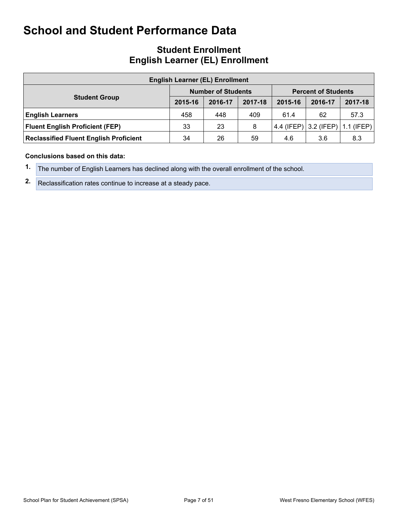## **Student Enrollment English Learner (EL) Enrollment**

| <b>English Learner (EL) Enrollment</b>        |         |                           |         |                            |              |         |  |  |  |  |
|-----------------------------------------------|---------|---------------------------|---------|----------------------------|--------------|---------|--|--|--|--|
|                                               |         | <b>Number of Students</b> |         | <b>Percent of Students</b> |              |         |  |  |  |  |
| <b>Student Group</b>                          | 2015-16 | 2016-17                   | 2017-18 | 2015-16                    | 2016-17      | 2017-18 |  |  |  |  |
| <b>English Learners</b>                       | 458     | 448                       | 409     | 61.4                       | 62           | 57.3    |  |  |  |  |
| <b>Fluent English Proficient (FEP)</b>        | 33      | 23                        | 8       | 4.4 (IFEP)                 | $3.2$ (IFEP) | (IFEP)  |  |  |  |  |
| <b>Reclassified Fluent English Proficient</b> | 34      | 26                        | 59      | 4.6                        | 3.6          | 8.3     |  |  |  |  |

#### **Conclusions based on this data:**

- **1.** The number of English Learners has declined along with the overall enrollment of the school.
- **2.** Reclassification rates continue to increase at a steady pace.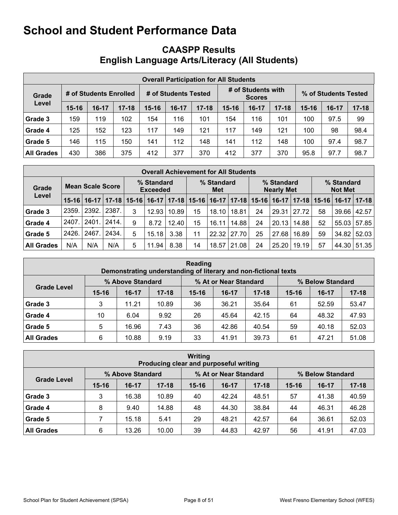## <span id="page-7-0"></span>**CAASPP Results English Language Arts/Literacy (All Students)**

| <b>Overall Participation for All Students</b> |           |                        |           |                      |         |           |                                     |         |           |                      |       |           |
|-----------------------------------------------|-----------|------------------------|-----------|----------------------|---------|-----------|-------------------------------------|---------|-----------|----------------------|-------|-----------|
| Grade                                         |           | # of Students Enrolled |           | # of Students Tested |         |           | # of Students with<br><b>Scores</b> |         |           | % of Students Tested |       |           |
| Level                                         | $15 - 16$ | $16-17$                | $17 - 18$ | $15 - 16$            | $16-17$ | $17 - 18$ | $15 - 16$                           | $16-17$ | $17 - 18$ | $15 - 16$            | 16-17 | $17 - 18$ |
| Grade 3                                       | 159       | 119                    | 102       | 154                  | 116     | 101       | 154                                 | 116     | 101       | 100                  | 97.5  | 99        |
| Grade 4                                       | 125       | 152                    | 123       | 117                  | 149     | 121       | 117                                 | 149     | 121       | 100                  | 98    | 98.4      |
| Grade 5                                       | 146       | 115                    | 150       | 141                  | 112     | 148       | 141                                 | 112     | 148       | 100                  | 97.4  | 98.7      |
| <b>All Grades</b>                             | 430       | 386                    | 375       | 412                  | 377     | 370       | 412                                 | 377     | 370       | 95.8                 | 97.7  | 98.7      |

| <b>Overall Achievement for All Students</b> |           |                         |       |   |                                                               |       |    |                   |       |           |                                 |                               |    |                              |           |  |
|---------------------------------------------|-----------|-------------------------|-------|---|---------------------------------------------------------------|-------|----|-------------------|-------|-----------|---------------------------------|-------------------------------|----|------------------------------|-----------|--|
| Grade                                       |           | <b>Mean Scale Score</b> |       |   | % Standard<br><b>Exceeded</b>                                 |       |    | % Standard<br>Met |       |           | % Standard<br><b>Nearly Met</b> |                               |    | % Standard<br><b>Not Met</b> |           |  |
| Level                                       | $15 - 16$ |                         |       |   | 16-17   17-18   15-16   16-17   17-18   15-16   16-17   17-18 |       |    |                   |       | $15 - 16$ |                                 | 16-17   17-18   15-16   16-17 |    |                              | $17 - 18$ |  |
| Grade 3                                     | 2359.     | 2392.                   | 2387. | 3 | 12.93                                                         | 10.89 | 15 | 18.10             | 18.81 | 24        | 29.31                           | 27.72                         | 58 | 39.66                        | 42.57     |  |
| Grade 4                                     | 2407.     | 2401.                   | 2414. | 9 | 8.72                                                          | 12.40 | 15 | 16.11             | 14.88 | 24        | 20.13                           | 14.88                         | 52 | 55.03                        | 57.85     |  |
| Grade 5                                     | 2426.     | 2467                    | 2434. | 5 | 15.18                                                         | 3.38  | 11 | 22.32             | 27.70 | 25        | 27.68                           | 16.89                         | 59 | 34.82                        | 52.03     |  |
| <b>All Grades</b>                           | N/A       | N/A                     | N/A   | 5 | 11.94                                                         | 8.38  | 14 | 18.57             | 21.08 | 24        | 25.20                           | 19.19                         | 57 | 44.30                        | 51.35     |  |

| Reading<br>Demonstrating understanding of literary and non-fictional texts |           |                  |           |           |                       |           |                  |         |           |  |  |  |
|----------------------------------------------------------------------------|-----------|------------------|-----------|-----------|-----------------------|-----------|------------------|---------|-----------|--|--|--|
|                                                                            |           | % Above Standard |           |           | % At or Near Standard |           | % Below Standard |         |           |  |  |  |
| <b>Grade Level</b>                                                         | $15 - 16$ | $16-17$          | $17 - 18$ | $15 - 16$ | $16-17$               | $17 - 18$ | $15 - 16$        | $16-17$ | $17 - 18$ |  |  |  |
| Grade 3                                                                    | 3         | 11.21            | 10.89     | 36        | 36.21                 | 35.64     | 61               | 52.59   | 53.47     |  |  |  |
| Grade 4                                                                    | 10        | 6.04             | 9.92      | 26        | 45.64                 | 42.15     | 64               | 48.32   | 47.93     |  |  |  |
| Grade 5                                                                    | 5         | 16.96            | 7.43      | 36        | 42.86                 | 40.54     | 59               | 40.18   | 52.03     |  |  |  |
| <b>All Grades</b>                                                          | 6         | 10.88            | 9.19      | 33        | 41.91                 | 39.73     | 61               | 47.21   | 51.08     |  |  |  |

| Writing<br>Producing clear and purposeful writing |           |                  |           |           |                       |           |                  |         |           |  |  |  |
|---------------------------------------------------|-----------|------------------|-----------|-----------|-----------------------|-----------|------------------|---------|-----------|--|--|--|
|                                                   |           | % Above Standard |           |           | % At or Near Standard |           | % Below Standard |         |           |  |  |  |
| <b>Grade Level</b>                                | $15 - 16$ | $16-17$          | $17 - 18$ | $15 - 16$ | $16-17$               | $17 - 18$ | $15 - 16$        | $16-17$ | $17 - 18$ |  |  |  |
| Grade 3                                           | 3         | 16.38            | 10.89     | 40        | 42.24                 | 48.51     | 57               | 41.38   | 40.59     |  |  |  |
| Grade 4                                           | 8         | 9.40             | 14.88     | 48        | 44.30                 | 38.84     | 44               | 46.31   | 46.28     |  |  |  |
| Grade 5                                           |           | 15.18            | 5.41      | 29        | 48.21                 | 42.57     | 64               | 36.61   | 52.03     |  |  |  |
| <b>All Grades</b>                                 | 6         | 13.26            | 10.00     | 39        | 44.83                 | 42.97     | 56               | 41.91   | 47.03     |  |  |  |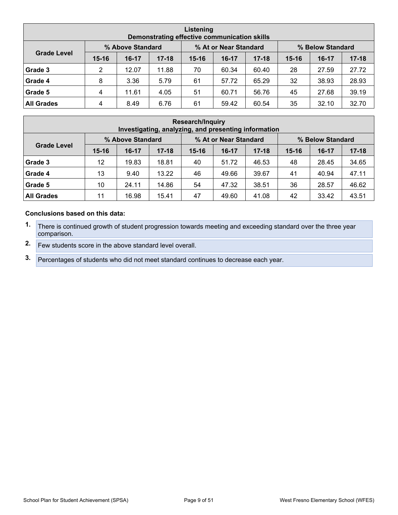| Listening<br>Demonstrating effective communication skills |           |                  |           |           |                       |           |                  |         |           |  |  |  |
|-----------------------------------------------------------|-----------|------------------|-----------|-----------|-----------------------|-----------|------------------|---------|-----------|--|--|--|
|                                                           |           | % Above Standard |           |           | % At or Near Standard |           | % Below Standard |         |           |  |  |  |
| <b>Grade Level</b>                                        | $15 - 16$ | $16-17$          | $17 - 18$ | $15 - 16$ | $16 - 17$             | $17 - 18$ | $15 - 16$        | $16-17$ | $17 - 18$ |  |  |  |
| Grade 3                                                   | 2         | 12.07            | 11.88     | 70        | 60.34                 | 60.40     | 28               | 27.59   | 27.72     |  |  |  |
| Grade 4                                                   | 8         | 3.36             | 5.79      | 61        | 57.72                 | 65.29     | 32               | 38.93   | 28.93     |  |  |  |
| Grade 5                                                   | 4         | 11.61            | 4.05      | 51        | 60.71                 | 56.76     | 45               | 27.68   | 39.19     |  |  |  |
| <b>All Grades</b>                                         | 4         | 8.49             | 6.76      | 61        | 59.42                 | 60.54     | 35               | 32.10   | 32.70     |  |  |  |

| <b>Research/Inquiry</b><br>Investigating, analyzing, and presenting information |           |         |           |           |         |           |           |         |           |  |  |  |
|---------------------------------------------------------------------------------|-----------|---------|-----------|-----------|---------|-----------|-----------|---------|-----------|--|--|--|
| % Above Standard<br>% At or Near Standard<br>% Below Standard                   |           |         |           |           |         |           |           |         |           |  |  |  |
| <b>Grade Level</b>                                                              | $15 - 16$ | $16-17$ | $17 - 18$ | $15 - 16$ | $16-17$ | $17 - 18$ | $15 - 16$ | $16-17$ | $17 - 18$ |  |  |  |
| Grade 3                                                                         | 12        | 19.83   | 18.81     | 40        | 51.72   | 46.53     | 48        | 28.45   | 34.65     |  |  |  |
| Grade 4                                                                         | 13        | 9.40    | 13.22     | 46        | 49.66   | 39.67     | 41        | 40.94   | 47.11     |  |  |  |
| Grade 5                                                                         | 10        | 24.11   | 14.86     | 54        | 47.32   | 38.51     | 36        | 28.57   | 46.62     |  |  |  |
| <b>All Grades</b>                                                               | 11        | 16.98   | 15.41     | 47        | 49.60   | 41.08     | 42        | 33.42   | 43.51     |  |  |  |

#### **Conclusions based on this data:**

- **1.** There is continued growth of student progression towards meeting and exceeding standard over the three year comparison.
- **2.** Few students score in the above standard level overall.

**3.** Percentages of students who did not meet standard continues to decrease each year.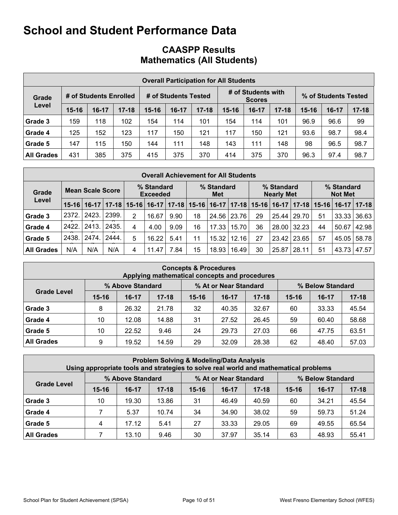## **CAASPP Results Mathematics (All Students)**

| <b>Overall Participation for All Students</b> |           |                        |           |           |                      |           |           |                                     |           |                      |       |           |
|-----------------------------------------------|-----------|------------------------|-----------|-----------|----------------------|-----------|-----------|-------------------------------------|-----------|----------------------|-------|-----------|
| Grade                                         |           | # of Students Enrolled |           |           | # of Students Tested |           |           | # of Students with<br><b>Scores</b> |           | % of Students Tested |       |           |
| Level                                         | $15 - 16$ | $16-17$                | $17 - 18$ | $15 - 16$ | $16-17$              | $17 - 18$ | $15 - 16$ | $16-17$                             | $17 - 18$ | $15 - 16$            | 16-17 | $17 - 18$ |
| Grade 3                                       | 159       | 118                    | 102       | 154       | 114                  | 101       | 154       | 114                                 | 101       | 96.9                 | 96.6  | 99        |
| Grade 4                                       | 125       | 152                    | 123       | 117       | 150                  | 121       | 117       | 150                                 | 121       | 93.6                 | 98.7  | 98.4      |
| Grade 5                                       | 147       | 115                    | 150       | 144       | 111                  | 148       | 143       | 111                                 | 148       | 98                   | 96.5  | 98.7      |
| <b>All Grades</b>                             | 431       | 385                    | 375       | 415       | 375                  | 370       | 414       | 375                                 | 370       | 96.3                 | 97.4  | 98.7      |

| <b>Overall Achievement for All Students</b> |                         |       |                                 |   |                               |      |                               |                          |       |    |                                 |       |                               |                              |                   |
|---------------------------------------------|-------------------------|-------|---------------------------------|---|-------------------------------|------|-------------------------------|--------------------------|-------|----|---------------------------------|-------|-------------------------------|------------------------------|-------------------|
| Grade<br>Level                              | <b>Mean Scale Score</b> |       |                                 |   | % Standard<br><b>Exceeded</b> |      |                               | % Standard<br><b>Met</b> |       |    | % Standard<br><b>Nearly Met</b> |       |                               | % Standard<br><b>Not Met</b> |                   |
|                                             | $15 - 16$               |       | $16-17$   17-18   15-16   16-17 |   |                               |      | 17-18   15-16   16-17   17-18 |                          |       |    |                                 |       | 15-16   16-17   17-18   15-16 |                              | $16 - 17$   17-18 |
| Grade 3                                     | 2372.                   | 2423. | 2399.                           | 2 | 16.67                         | 9.90 | 18                            | 24.56                    | 23.76 | 29 | 25.44                           | 29.70 | 51                            | 33.33                        | 36.63             |
| Grade 4                                     | 2422.                   | 2413. | 2435.                           | 4 | 4.00                          | 9.09 | 16                            | 17.33                    | 15.70 | 36 | 28.00                           | 32.23 | 44                            | 50.67                        | 42.98             |
| Grade 5                                     | 2438.                   | 2474. | 2444.                           | 5 | 16.22                         | 5.41 | 11                            | 15.32                    | 12.16 | 27 | 23.42                           | 23.65 | 57                            | 45.05                        | 58.78             |
| <b>All Grades</b>                           | N/A                     | N/A   | N/A                             | 4 | 11.47                         | 7.84 | 15                            | 18.93                    | 16.49 | 30 | 25.87                           | 28.11 | 51                            | 43.73                        | 47.57             |

| <b>Concepts &amp; Procedures</b><br>Applying mathematical concepts and procedures |           |                  |           |           |                       |           |           |                  |           |  |  |  |
|-----------------------------------------------------------------------------------|-----------|------------------|-----------|-----------|-----------------------|-----------|-----------|------------------|-----------|--|--|--|
|                                                                                   |           | % Above Standard |           |           | % At or Near Standard |           |           | % Below Standard |           |  |  |  |
| <b>Grade Level</b>                                                                | $15 - 16$ | $16-17$          | $17 - 18$ | $15 - 16$ | $16-17$               | $17 - 18$ | $15 - 16$ | $16-17$          | $17 - 18$ |  |  |  |
| Grade 3                                                                           | 8         | 26.32            | 21.78     | 32        | 40.35                 | 32.67     | 60        | 33.33            | 45.54     |  |  |  |
| Grade 4                                                                           | 10        | 12.08            | 14.88     | 31        | 27.52                 | 26.45     | 59        | 60.40            | 58.68     |  |  |  |
| Grade 5                                                                           | 10        | 22.52            | 9.46      | 24        | 29.73                 | 27.03     | 66        | 47.75            | 63.51     |  |  |  |
| <b>All Grades</b>                                                                 | 9         | 19.52            | 14.59     | 29        | 32.09                 | 28.38     | 62        | 48.40            | 57.03     |  |  |  |

| <b>Problem Solving &amp; Modeling/Data Analysis</b><br>Using appropriate tools and strategies to solve real world and mathematical problems |           |                  |           |           |                                           |           |           |         |           |  |  |  |
|---------------------------------------------------------------------------------------------------------------------------------------------|-----------|------------------|-----------|-----------|-------------------------------------------|-----------|-----------|---------|-----------|--|--|--|
|                                                                                                                                             |           | % Above Standard |           |           | % At or Near Standard<br>% Below Standard |           |           |         |           |  |  |  |
| <b>Grade Level</b>                                                                                                                          | $15 - 16$ | $16-17$          | $17 - 18$ | $15 - 16$ | $16-17$                                   | $17 - 18$ | $15 - 16$ | $16-17$ | $17 - 18$ |  |  |  |
| Grade 3                                                                                                                                     | 10        | 19.30            | 13.86     | 31        | 46.49                                     | 40.59     | 60        | 34.21   | 45.54     |  |  |  |
| Grade 4                                                                                                                                     |           | 5.37             | 10.74     | 34        | 34.90                                     | 38.02     | 59        | 59.73   | 51.24     |  |  |  |
| Grade 5                                                                                                                                     | 4         | 17.12            | 5.41      | 27        | 33.33                                     | 29.05     | 69        | 49.55   | 65.54     |  |  |  |
| <b>All Grades</b>                                                                                                                           |           | 13.10            | 9.46      | 30        | 37.97                                     | 35.14     | 63        | 48.93   | 55.41     |  |  |  |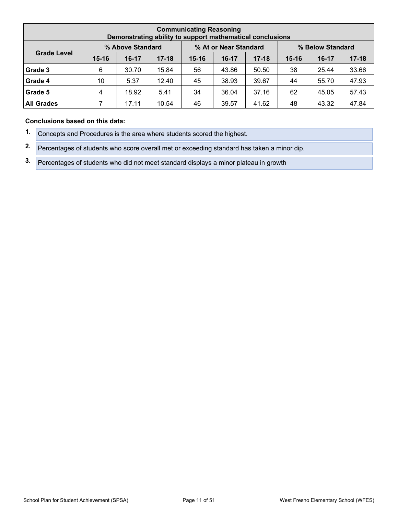| <b>Communicating Reasoning</b><br>Demonstrating ability to support mathematical conclusions |           |                  |           |           |                       |           |                  |         |           |  |  |  |
|---------------------------------------------------------------------------------------------|-----------|------------------|-----------|-----------|-----------------------|-----------|------------------|---------|-----------|--|--|--|
|                                                                                             |           | % Above Standard |           |           | % At or Near Standard |           | % Below Standard |         |           |  |  |  |
| <b>Grade Level</b>                                                                          | $15 - 16$ | $16-17$          | $17 - 18$ | $15 - 16$ | $16 - 17$             | $17 - 18$ | $15 - 16$        | $16-17$ | $17 - 18$ |  |  |  |
| Grade 3                                                                                     | 6         | 30.70            | 15.84     | 56        | 43.86                 | 50.50     | 38               | 25.44   | 33.66     |  |  |  |
| Grade 4                                                                                     | 10        | 5.37             | 12.40     | 45        | 38.93                 | 39.67     | 44               | 55.70   | 47.93     |  |  |  |
| Grade 5                                                                                     | 4         | 18.92            | 5.41      | 34        | 36.04                 | 37.16     | 62               | 45.05   | 57.43     |  |  |  |
| <b>All Grades</b>                                                                           |           | 17.11            | 10.54     | 46        | 39.57                 | 41.62     | 48               | 43.32   | 47.84     |  |  |  |

#### **Conclusions based on this data:**

**1.** Concepts and Procedures is the area where students scored the highest.

**2.** Percentages of students who score overall met or exceeding standard has taken a minor dip.

**3.** Percentages of students who did not meet standard displays a minor plateau in growth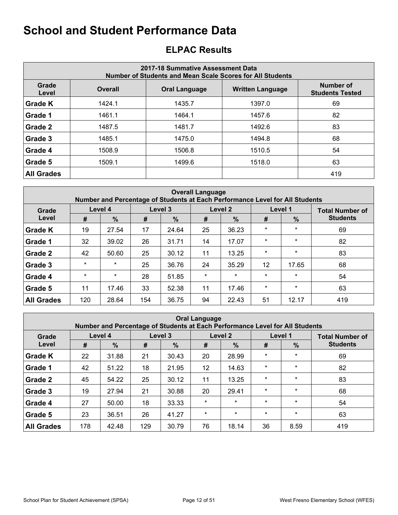## <span id="page-11-0"></span>**ELPAC Results**

| 2017-18 Summative Assessment Data<br>Number of Students and Mean Scale Scores for All Students |                |                         |                                            |     |  |  |  |  |  |  |  |
|------------------------------------------------------------------------------------------------|----------------|-------------------------|--------------------------------------------|-----|--|--|--|--|--|--|--|
| Grade<br>Level                                                                                 | <b>Overall</b> | <b>Written Language</b> | <b>Number of</b><br><b>Students Tested</b> |     |  |  |  |  |  |  |  |
| <b>Grade K</b>                                                                                 | 1424.1         | 1435.7                  | 1397.0                                     | 69  |  |  |  |  |  |  |  |
| Grade 1                                                                                        | 1461.1         | 1464.1                  | 1457.6                                     | 82  |  |  |  |  |  |  |  |
| Grade 2                                                                                        | 1487.5         | 1481.7                  | 1492.6                                     | 83  |  |  |  |  |  |  |  |
| Grade 3                                                                                        | 1485.1         | 1475.0                  | 1494.8                                     | 68  |  |  |  |  |  |  |  |
| Grade 4                                                                                        | 1508.9         | 1506.8                  | 1510.5                                     | 54  |  |  |  |  |  |  |  |
| Grade 5                                                                                        | 1509.1         | 1499.6                  | 1518.0                                     | 63  |  |  |  |  |  |  |  |
| <b>All Grades</b>                                                                              |                |                         |                                            | 419 |  |  |  |  |  |  |  |

|                   | <b>Overall Language</b><br>Number and Percentage of Students at Each Performance Level for All Students |         |     |         |         |                    |         |               |                        |  |  |  |  |
|-------------------|---------------------------------------------------------------------------------------------------------|---------|-----|---------|---------|--------------------|---------|---------------|------------------------|--|--|--|--|
| Grade             | Level 4                                                                                                 |         |     | Level 3 |         | Level <sub>2</sub> |         | Level 1       | <b>Total Number of</b> |  |  |  |  |
| Level             | #                                                                                                       | $\%$    | #   | $\%$    | #       | $\%$               | #       | $\frac{9}{6}$ | <b>Students</b>        |  |  |  |  |
| <b>Grade K</b>    | 19                                                                                                      | 27.54   | 17  | 24.64   | 25      | 36.23              | $\star$ | $\star$       | 69                     |  |  |  |  |
| Grade 1           | 32                                                                                                      | 39.02   | 26  | 31.71   | 14      | 17.07              | $\star$ | $\star$       | 82                     |  |  |  |  |
| Grade 2           | 42                                                                                                      | 50.60   | 25  | 30.12   | 11      | 13.25              | $\star$ | $\star$       | 83                     |  |  |  |  |
| Grade 3           | $\star$                                                                                                 | $\star$ | 25  | 36.76   | 24      | 35.29              | 12      | 17.65         | 68                     |  |  |  |  |
| Grade 4           | $\star$                                                                                                 | $\star$ | 28  | 51.85   | $\star$ | $\star$            | $\star$ | $\star$       | 54                     |  |  |  |  |
| Grade 5           | 11                                                                                                      | 17.46   | 33  | 52.38   | 11      | 17.46              | $\star$ | $\star$       | 63                     |  |  |  |  |
| <b>All Grades</b> | 120                                                                                                     | 28.64   | 154 | 36.75   | 94      | 22.43              | 51      | 12.17         | 419                    |  |  |  |  |

| <b>Oral Language</b><br>Number and Percentage of Students at Each Performance Level for All Students |         |               |     |         |         |               |         |         |                        |  |  |  |
|------------------------------------------------------------------------------------------------------|---------|---------------|-----|---------|---------|---------------|---------|---------|------------------------|--|--|--|
| Grade                                                                                                | Level 4 |               |     | Level 3 |         | Level 2       |         | Level 1 | <b>Total Number of</b> |  |  |  |
| Level                                                                                                | #       | $\frac{0}{0}$ | #   | $\%$    | #       | $\frac{9}{6}$ | #       | $\%$    | <b>Students</b>        |  |  |  |
| <b>Grade K</b>                                                                                       | 22      | 31.88         | 21  | 30.43   | 20      | 28.99         | $\star$ | $\star$ | 69                     |  |  |  |
| Grade 1                                                                                              | 42      | 51.22         | 18  | 21.95   | 12      | 14.63         | $\star$ | $\star$ | 82                     |  |  |  |
| Grade 2                                                                                              | 45      | 54.22         | 25  | 30.12   | 11      | 13.25         | $\star$ | $\star$ | 83                     |  |  |  |
| Grade 3                                                                                              | 19      | 27.94         | 21  | 30.88   | 20      | 29.41         | $\star$ | $\star$ | 68                     |  |  |  |
| Grade 4                                                                                              | 27      | 50.00         | 18  | 33.33   | $\star$ | $\star$       | $\star$ | $\star$ | 54                     |  |  |  |
| Grade 5                                                                                              | 23      | 36.51         | 26  | 41.27   | $\star$ | $\star$       | $\star$ | $\star$ | 63                     |  |  |  |
| <b>All Grades</b>                                                                                    | 178     | 42.48         | 129 | 30.79   | 76      | 18.14         | 36      | 8.59    | 419                    |  |  |  |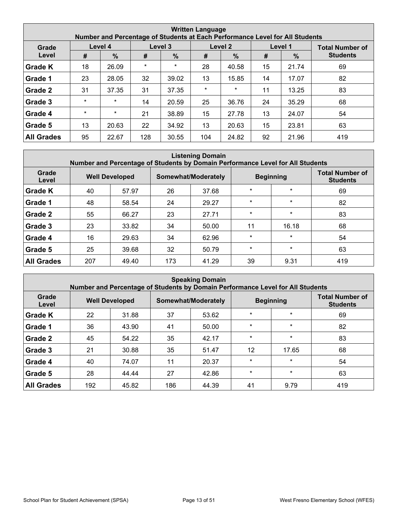| <b>Written Language</b><br>Number and Percentage of Students at Each Performance Level for All Students |         |               |         |         |         |         |    |               |                        |  |  |  |
|---------------------------------------------------------------------------------------------------------|---------|---------------|---------|---------|---------|---------|----|---------------|------------------------|--|--|--|
| Grade                                                                                                   | Level 4 |               |         | Level 3 |         | Level 2 |    | Level 1       | <b>Total Number of</b> |  |  |  |
| Level                                                                                                   | #       | $\frac{9}{6}$ | #       | $\%$    | #       | $\%$    | #  | $\frac{0}{0}$ | <b>Students</b>        |  |  |  |
| <b>Grade K</b>                                                                                          | 18      | 26.09         | $\star$ | $\star$ | 28      | 40.58   | 15 | 21.74         | 69                     |  |  |  |
| Grade 1                                                                                                 | 23      | 28.05         | 32      | 39.02   | 13      | 15.85   | 14 | 17.07         | 82                     |  |  |  |
| Grade 2                                                                                                 | 31      | 37.35         | 31      | 37.35   | $\star$ | $\star$ | 11 | 13.25         | 83                     |  |  |  |
| Grade 3                                                                                                 | $\star$ | $\star$       | 14      | 20.59   | 25      | 36.76   | 24 | 35.29         | 68                     |  |  |  |
| Grade 4                                                                                                 | $\star$ | $\star$       | 21      | 38.89   | 15      | 27.78   | 13 | 24.07         | 54                     |  |  |  |
| Grade 5                                                                                                 | 13      | 20.63         | 22      | 34.92   | 13      | 20.63   | 15 | 23.81         | 63                     |  |  |  |
| <b>All Grades</b>                                                                                       | 95      | 22.67         | 128     | 30.55   | 104     | 24.82   | 92 | 21.96         | 419                    |  |  |  |

#### **Listening Domain Number and Percentage of Students by Domain Performance Level for All Students**

| Grade<br>Level    | <b>Well Developed</b> |       |     | Somewhat/Moderately |         | <b>Beginning</b> | <b>Total Number of</b><br><b>Students</b> |
|-------------------|-----------------------|-------|-----|---------------------|---------|------------------|-------------------------------------------|
| <b>Grade K</b>    | 40                    | 57.97 | 26  | 37.68               | $\star$ | $\star$          | 69                                        |
| Grade 1           | 48                    | 58.54 | 24  | 29.27               | $\star$ | $\star$          | 82                                        |
| Grade 2           | 55                    | 66.27 | 23  | 27.71               | $\star$ | $\star$          | 83                                        |
| Grade 3           | 23                    | 33.82 | 34  | 50.00               | 11      | 16.18            | 68                                        |
| Grade 4           | 16                    | 29.63 | 34  | 62.96               | $\star$ | $\star$          | 54                                        |
| Grade 5           | 25                    | 39.68 | 32  | 50.79               | $\star$ | $\star$          | 63                                        |
| <b>All Grades</b> | 207                   | 49.40 | 173 | 41.29               | 39      | 9.31             | 419                                       |

| <b>Speaking Domain</b><br>Number and Percentage of Students by Domain Performance Level for All Students |     |                       |     |                     |         |                  |                                           |  |  |  |  |  |
|----------------------------------------------------------------------------------------------------------|-----|-----------------------|-----|---------------------|---------|------------------|-------------------------------------------|--|--|--|--|--|
| Grade<br>Level                                                                                           |     | <b>Well Developed</b> |     | Somewhat/Moderately |         | <b>Beginning</b> | <b>Total Number of</b><br><b>Students</b> |  |  |  |  |  |
| <b>Grade K</b>                                                                                           | 22  | 31.88                 | 37  | 53.62               | $\star$ | $\star$          | 69                                        |  |  |  |  |  |
| Grade 1                                                                                                  | 36  | 43.90                 | 41  | 50.00               | $\star$ | $\star$          | 82                                        |  |  |  |  |  |
| Grade 2                                                                                                  | 45  | 54.22                 | 35  | 42.17               | $\star$ | $\star$          | 83                                        |  |  |  |  |  |
| Grade 3                                                                                                  | 21  | 30.88                 | 35  | 51.47               | 12      | 17.65            | 68                                        |  |  |  |  |  |
| Grade 4                                                                                                  | 40  | 74.07                 | 11  | 20.37               | $\star$ | $\star$          | 54                                        |  |  |  |  |  |
| Grade 5                                                                                                  | 28  | 44.44                 | 27  | 42.86               | $\star$ | $\star$          | 63                                        |  |  |  |  |  |
| <b>All Grades</b>                                                                                        | 192 | 45.82                 | 186 | 44.39               | 41      | 9.79             | 419                                       |  |  |  |  |  |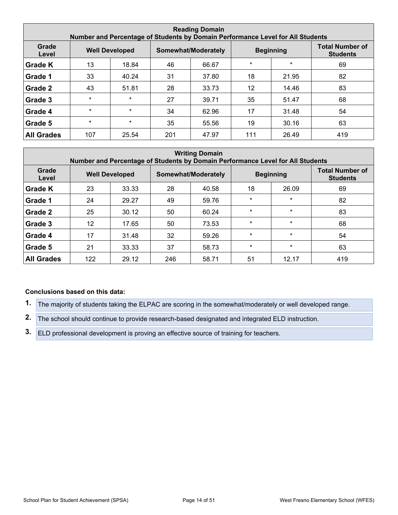| <b>Reading Domain</b><br>Number and Percentage of Students by Domain Performance Level for All Students |         |                       |     |                     |         |                  |                                           |  |  |  |  |  |
|---------------------------------------------------------------------------------------------------------|---------|-----------------------|-----|---------------------|---------|------------------|-------------------------------------------|--|--|--|--|--|
| Grade<br>Level                                                                                          |         | <b>Well Developed</b> |     | Somewhat/Moderately |         | <b>Beginning</b> | <b>Total Number of</b><br><b>Students</b> |  |  |  |  |  |
| <b>Grade K</b>                                                                                          | 13      | 18.84                 | 46  | 66.67               | $\star$ | $\star$          | 69                                        |  |  |  |  |  |
| Grade 1                                                                                                 | 33      | 40.24                 | 31  | 37.80               | 18      | 21.95            | 82                                        |  |  |  |  |  |
| Grade 2                                                                                                 | 43      | 51.81                 | 28  | 33.73               | 12      | 14.46            | 83                                        |  |  |  |  |  |
| Grade 3                                                                                                 | $\star$ | $\star$               | 27  | 39.71               | 35      | 51.47            | 68                                        |  |  |  |  |  |
| Grade 4                                                                                                 | $\star$ | $\star$               | 34  | 62.96               | 17      | 31.48            | 54                                        |  |  |  |  |  |
| Grade 5                                                                                                 | $\star$ | $\star$               | 35  | 55.56               | 19      | 30.16            | 63                                        |  |  |  |  |  |
| <b>All Grades</b>                                                                                       | 107     | 25.54                 | 201 | 47.97               | 111     | 26.49            | 419                                       |  |  |  |  |  |

| <b>Writing Domain</b><br>Number and Percentage of Students by Domain Performance Level for All Students |     |                       |     |                     |         |                  |                                           |  |  |  |  |
|---------------------------------------------------------------------------------------------------------|-----|-----------------------|-----|---------------------|---------|------------------|-------------------------------------------|--|--|--|--|
| Grade<br>Level                                                                                          |     | <b>Well Developed</b> |     | Somewhat/Moderately |         | <b>Beginning</b> | <b>Total Number of</b><br><b>Students</b> |  |  |  |  |
| <b>Grade K</b>                                                                                          | 23  | 33.33                 | 28  | 40.58               | 18      | 26.09            | 69                                        |  |  |  |  |
| Grade 1                                                                                                 | 24  | 29.27                 | 49  | 59.76               | $\star$ | $\star$          | 82                                        |  |  |  |  |
| Grade 2                                                                                                 | 25  | 30.12                 | 50  | 60.24               | $\star$ | $\star$          | 83                                        |  |  |  |  |
| Grade 3                                                                                                 | 12  | 17.65                 | 50  | 73.53               | $\star$ | $\star$          | 68                                        |  |  |  |  |
| Grade 4                                                                                                 | 17  | 31.48                 | 32  | 59.26               | $\star$ | $\star$          | 54                                        |  |  |  |  |
| Grade 5                                                                                                 | 21  | 33.33                 | 37  | 58.73               | $\star$ | $\star$          | 63                                        |  |  |  |  |
| <b>All Grades</b>                                                                                       | 122 | 29.12                 | 246 | 58.71               | 51      | 12.17            | 419                                       |  |  |  |  |

#### **Conclusions based on this data:**

**1.** The majority of students taking the ELPAC are scoring in the somewhat/moderately or well developed range.

**2.** The school should continue to provide research-based designated and integrated ELD instruction.

**3.** ELD professional development is proving an effective source of training for teachers.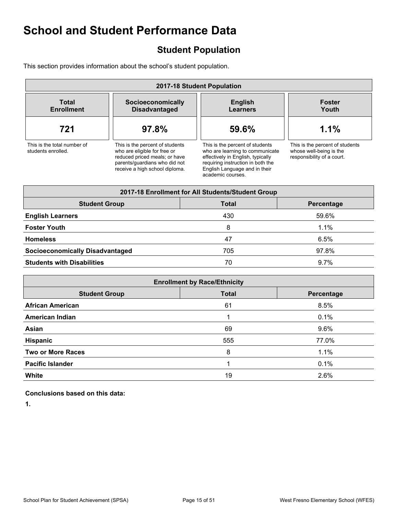## <span id="page-14-0"></span>**Student Population**

This section provides information about the school's student population.

| 2017-18 Student Population                        |                                                                                                                                                                     |                                                                                                                                                                                                    |                                                                                          |  |
|---------------------------------------------------|---------------------------------------------------------------------------------------------------------------------------------------------------------------------|----------------------------------------------------------------------------------------------------------------------------------------------------------------------------------------------------|------------------------------------------------------------------------------------------|--|
| Total<br><b>Enrollment</b>                        | Socioeconomically<br><b>Disadvantaged</b>                                                                                                                           | <b>English</b><br><b>Learners</b>                                                                                                                                                                  | <b>Foster</b><br>Youth                                                                   |  |
| 721                                               | 97.8%                                                                                                                                                               | 59.6%                                                                                                                                                                                              | 1.1%                                                                                     |  |
| This is the total number of<br>students enrolled. | This is the percent of students<br>who are eligible for free or<br>reduced priced meals; or have<br>parents/quardians who did not<br>receive a high school diploma. | This is the percent of students<br>who are learning to communicate<br>effectively in English, typically<br>requiring instruction in both the<br>English Language and in their<br>academic courses. | This is the percent of students<br>whose well-being is the<br>responsibility of a court. |  |

| 2017-18 Enrollment for All Students/Student Group  |     |       |  |  |  |
|----------------------------------------------------|-----|-------|--|--|--|
| <b>Student Group</b><br><b>Total</b><br>Percentage |     |       |  |  |  |
| <b>English Learners</b>                            | 430 | 59.6% |  |  |  |
| <b>Foster Youth</b>                                | 8   | 1.1%  |  |  |  |
| <b>Homeless</b>                                    | 47  | 6.5%  |  |  |  |
| <b>Socioeconomically Disadvantaged</b>             | 705 | 97.8% |  |  |  |
| <b>Students with Disabilities</b><br>$9.7\%$<br>70 |     |       |  |  |  |

| <b>Enrollment by Race/Ethnicity</b>                |         |  |  |  |  |
|----------------------------------------------------|---------|--|--|--|--|
| <b>Total</b><br><b>Student Group</b><br>Percentage |         |  |  |  |  |
| 61                                                 | 8.5%    |  |  |  |  |
|                                                    | 0.1%    |  |  |  |  |
| 69                                                 | $9.6\%$ |  |  |  |  |
| 555                                                | 77.0%   |  |  |  |  |
| 8                                                  | 1.1%    |  |  |  |  |
|                                                    | 0.1%    |  |  |  |  |
| 19                                                 | 2.6%    |  |  |  |  |
|                                                    |         |  |  |  |  |

**Conclusions based on this data:**

**1.**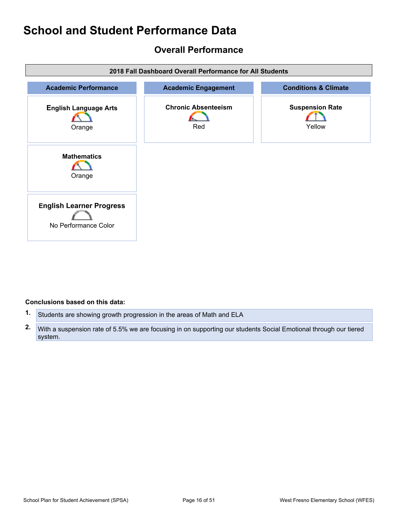## <span id="page-15-0"></span>**Overall Performance**



#### **Conclusions based on this data:**

- **1.** Students are showing growth progression in the areas of Math and ELA
- **2.** With a suspension rate of 5.5% we are focusing in on supporting our students Social Emotional through our tiered system.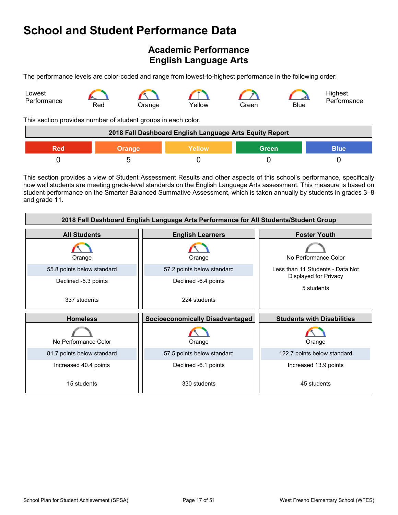## <span id="page-16-0"></span>**Academic Performance English Language Arts**

The performance levels are color-coded and range from lowest-to-highest performance in the following order:



This section provides number of student groups in each color.

| 2018 Fall Dashboard English Language Arts Equity Report       |  |  |  |  |
|---------------------------------------------------------------|--|--|--|--|
| <b>Green</b><br>Yellow<br><b>Blue</b><br><b>Orange</b><br>Red |  |  |  |  |
|                                                               |  |  |  |  |

This section provides a view of Student Assessment Results and other aspects of this school's performance, specifically how well students are meeting grade-level standards on the English Language Arts assessment. This measure is based on student performance on the Smarter Balanced Summative Assessment, which is taken annually by students in grades 3–8 and grade 11.

| 2018 Fall Dashboard English Language Arts Performance for All Students/Student Group |                                        |                                     |  |  |  |
|--------------------------------------------------------------------------------------|----------------------------------------|-------------------------------------|--|--|--|
| <b>All Students</b>                                                                  | <b>English Learners</b>                |                                     |  |  |  |
| Orange                                                                               | Orange                                 | No Performance Color                |  |  |  |
| 55.8 points below standard                                                           | 57.2 points below standard             | Less than 11 Students - Data Not    |  |  |  |
| Declined -5.3 points                                                                 | Declined -6.4 points                   | Displayed for Privacy<br>5 students |  |  |  |
| 337 students                                                                         | 224 students                           |                                     |  |  |  |
| <b>Homeless</b>                                                                      | <b>Socioeconomically Disadvantaged</b> | <b>Students with Disabilities</b>   |  |  |  |
| No Performance Color                                                                 | Orange                                 | Orange                              |  |  |  |
| 81.7 points below standard                                                           | 57.5 points below standard             | 122.7 points below standard         |  |  |  |
| Increased 40.4 points                                                                | Declined -6.1 points                   | Increased 13.9 points               |  |  |  |
| 15 students                                                                          | 330 students                           | 45 students                         |  |  |  |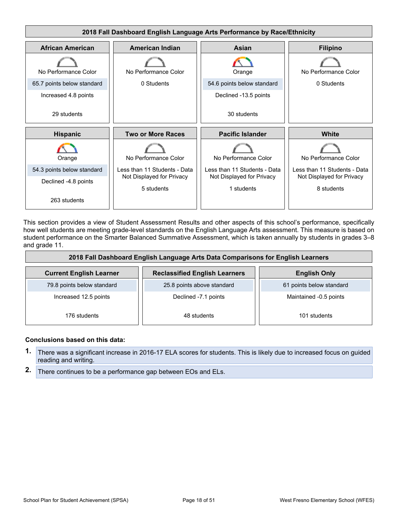

This section provides a view of Student Assessment Results and other aspects of this school's performance, specifically how well students are meeting grade-level standards on the English Language Arts assessment. This measure is based on student performance on the Smarter Balanced Summative Assessment, which is taken annually by students in grades 3–8 and grade 11.

| 2018 Fall Dashboard English Language Arts Data Comparisons for English Learners |                                      |                          |  |  |  |
|---------------------------------------------------------------------------------|--------------------------------------|--------------------------|--|--|--|
| <b>Current English Learner</b>                                                  | <b>Reclassified English Learners</b> | <b>English Only</b>      |  |  |  |
| 79.8 points below standard                                                      | 25.8 points above standard           | 61 points below standard |  |  |  |
| Increased 12.5 points<br>Declined -7.1 points                                   |                                      | Maintained -0.5 points   |  |  |  |
| 176 students                                                                    | 48 students                          | 101 students             |  |  |  |

#### **Conclusions based on this data:**

- **1.** There was a significant increase in 2016-17 ELA scores for students. This is likely due to increased focus on guided reading and writing.
- **2.** There continues to be a performance gap between EOs and ELs.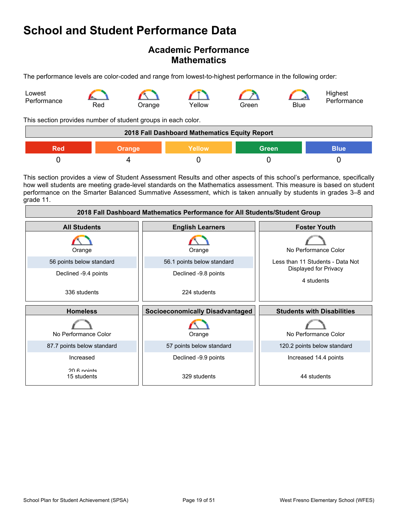## **Academic Performance Mathematics**

The performance levels are color-coded and range from lowest-to-highest performance in the following order:



This section provides number of student groups in each color.

| 2018 Fall Dashboard Mathematics Equity Report |        |        |              |             |
|-----------------------------------------------|--------|--------|--------------|-------------|
| Red                                           | Orange | Yellow | <b>Green</b> | <b>Blue</b> |
|                                               |        |        |              |             |

This section provides a view of Student Assessment Results and other aspects of this school's performance, specifically how well students are meeting grade-level standards on the Mathematics assessment. This measure is based on student performance on the Smarter Balanced Summative Assessment, which is taken annually by students in grades 3–8 and grade 11.

| 2018 Fall Dashboard Mathematics Performance for All Students/Student Group |                                        |                                     |  |  |  |
|----------------------------------------------------------------------------|----------------------------------------|-------------------------------------|--|--|--|
| <b>All Students</b>                                                        | <b>English Learners</b>                | <b>Foster Youth</b>                 |  |  |  |
| Orange                                                                     | Orange                                 | No Performance Color                |  |  |  |
| 56 points below standard                                                   | 56.1 points below standard             | Less than 11 Students - Data Not    |  |  |  |
| Declined -9.4 points                                                       | Declined -9.8 points                   | Displayed for Privacy<br>4 students |  |  |  |
| 336 students                                                               | 224 students                           |                                     |  |  |  |
| <b>Homeless</b>                                                            | <b>Socioeconomically Disadvantaged</b> | <b>Students with Disabilities</b>   |  |  |  |
| No Performance Color                                                       | Orange                                 | No Performance Color                |  |  |  |
| 87.7 points below standard                                                 | 57 points below standard               | 120.2 points below standard         |  |  |  |
| Increased                                                                  | Declined -9.9 points                   | Increased 14.4 points               |  |  |  |
| 20 & nointe<br>15 students                                                 | 329 students                           | 44 students                         |  |  |  |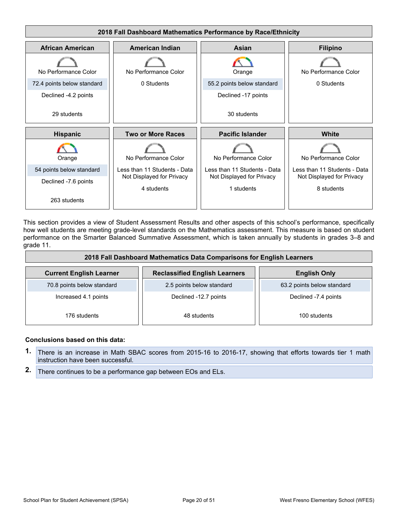

This section provides a view of Student Assessment Results and other aspects of this school's performance, specifically how well students are meeting grade-level standards on the Mathematics assessment. This measure is based on student performance on the Smarter Balanced Summative Assessment, which is taken annually by students in grades 3–8 and grade 11.

| 2018 Fall Dashboard Mathematics Data Comparisons for English Learners |                                      |                            |  |  |  |
|-----------------------------------------------------------------------|--------------------------------------|----------------------------|--|--|--|
| <b>Current English Learner</b>                                        | <b>Reclassified English Learners</b> | <b>English Only</b>        |  |  |  |
| 70.8 points below standard                                            | 2.5 points below standard            | 63.2 points below standard |  |  |  |
| Increased 4.1 points                                                  | Declined -12.7 points                | Declined -7.4 points       |  |  |  |
| 176 students                                                          | 48 students                          | 100 students               |  |  |  |

#### **Conclusions based on this data:**

- **1.** There is an increase in Math SBAC scores from 2015-16 to 2016-17, showing that efforts towards tier 1 math instruction have been successful.
- **2.** There continues to be a performance gap between EOs and ELs.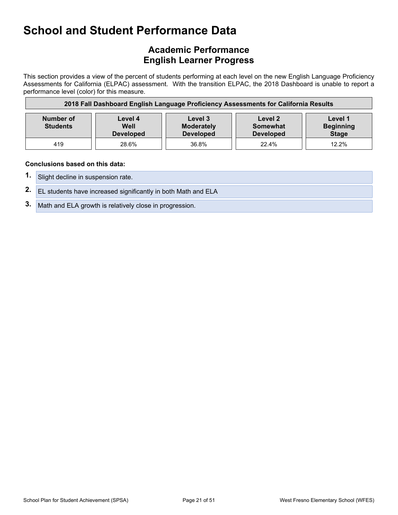## **Academic Performance English Learner Progress**

This section provides a view of the percent of students performing at each level on the new English Language Proficiency Assessments for California (ELPAC) assessment. With the transition ELPAC, the 2018 Dashboard is unable to report a performance level (color) for this measure.

| 2018 Fall Dashboard English Language Proficiency Assessments for California Results |                                     |                                                  |                                         |                                             |
|-------------------------------------------------------------------------------------|-------------------------------------|--------------------------------------------------|-----------------------------------------|---------------------------------------------|
| Number of<br><b>Students</b>                                                        | Level 4<br>Well<br><b>Developed</b> | Level 3<br><b>Moderately</b><br><b>Developed</b> | Level 2<br>Somewhat<br><b>Developed</b> | Level 1<br><b>Beginning</b><br><b>Stage</b> |
| 419                                                                                 | 28.6%                               | 36.8%                                            | 22.4%                                   | 12.2%                                       |

#### **Conclusions based on this data:**

- **1.** Slight decline in suspension rate.
- **2.** EL students have increased significantly in both Math and ELA
- **3.** Math and ELA growth is relatively close in progression.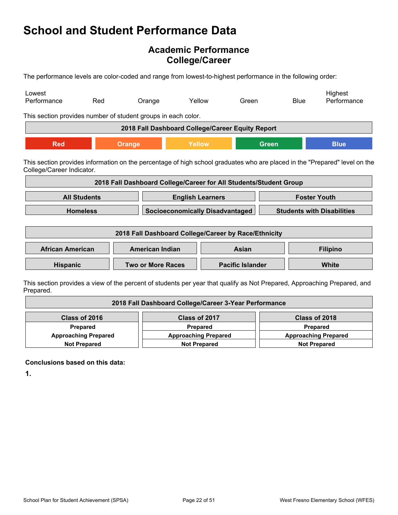## **Academic Performance College/Career**

The performance levels are color-coded and range from lowest-to-highest performance in the following order:

| Lowest<br>Performance                                                                                                                                   | Red                 | Orange                                                            | Yellow                                 | Green |              | <b>Blue</b>                       | Highest<br>Performance                                                                                                   |
|---------------------------------------------------------------------------------------------------------------------------------------------------------|---------------------|-------------------------------------------------------------------|----------------------------------------|-------|--------------|-----------------------------------|--------------------------------------------------------------------------------------------------------------------------|
| This section provides number of student groups in each color.                                                                                           |                     |                                                                   |                                        |       |              |                                   |                                                                                                                          |
|                                                                                                                                                         |                     | 2018 Fall Dashboard College/Career Equity Report                  |                                        |       |              |                                   |                                                                                                                          |
| <b>Red</b>                                                                                                                                              |                     | Orange                                                            | Yellow                                 |       | <b>Green</b> |                                   | <b>Blue</b>                                                                                                              |
| This section provides information on the percentage of high school graduates who are placed in the "Prepared" level on the<br>College/Career Indicator. |                     |                                                                   |                                        |       |              |                                   |                                                                                                                          |
|                                                                                                                                                         |                     | 2018 Fall Dashboard College/Career for All Students/Student Group |                                        |       |              |                                   |                                                                                                                          |
|                                                                                                                                                         | <b>All Students</b> |                                                                   | <b>English Learners</b>                |       |              |                                   | <b>Foster Youth</b>                                                                                                      |
|                                                                                                                                                         | <b>Homeless</b>     |                                                                   | <b>Socioeconomically Disadvantaged</b> |       |              | <b>Students with Disabilities</b> |                                                                                                                          |
| 2018 Fall Dashboard College/Career by Race/Ethnicity                                                                                                    |                     |                                                                   |                                        |       |              |                                   |                                                                                                                          |
| <b>African American</b>                                                                                                                                 |                     | <b>American Indian</b>                                            |                                        | Asian |              |                                   | <b>Filipino</b>                                                                                                          |
| <b>Hispanic</b>                                                                                                                                         |                     | <b>Two or More Races</b>                                          | <b>Pacific Islander</b>                |       |              |                                   | <b>White</b>                                                                                                             |
|                                                                                                                                                         |                     |                                                                   |                                        |       |              |                                   | This section provides a view of the percent of students per vear that qualify as Not Prepared. Approaching Prepared, and |

ection provides a view of the percent of students per year that qualify as Not Prepared, Approaching Prepared, and Prepared.

| 2018 Fall Dashboard College/Career 3-Year Performance             |  |                             |  |  |  |  |
|-------------------------------------------------------------------|--|-----------------------------|--|--|--|--|
| Class of 2016<br>Class of 2017<br>Class of 2018                   |  |                             |  |  |  |  |
| <b>Prepared</b><br><b>Prepared</b>                                |  | Prepared                    |  |  |  |  |
| <b>Approaching Prepared</b><br><b>Approaching Prepared</b>        |  | <b>Approaching Prepared</b> |  |  |  |  |
| <b>Not Prepared</b><br><b>Not Prepared</b><br><b>Not Prepared</b> |  |                             |  |  |  |  |

**Conclusions based on this data:**

**1.**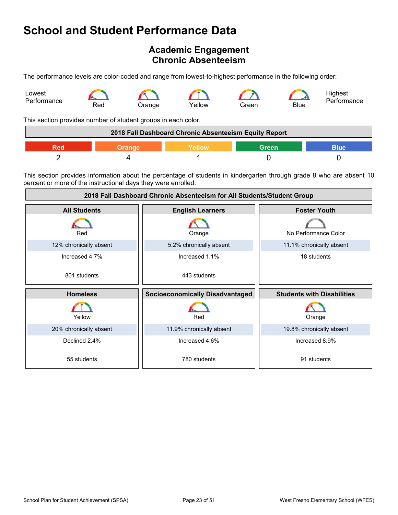## <span id="page-22-0"></span>**Academic Engagement Chronic Absenteeism**

The performance levels are color-coded and range from lowest-to-highest performance in the following order:



This section provides number of student groups in each color.

| 2018 Fall Dashboard Chronic Absenteeism Equity Report |  |        |       |      |
|-------------------------------------------------------|--|--------|-------|------|
|                                                       |  | Yellow | Green | Blue |
|                                                       |  |        |       |      |

This section provides information about the percentage of students in kindergarten through grade 8 who are absent 10 percent or more of the instructional days they were enrolled.

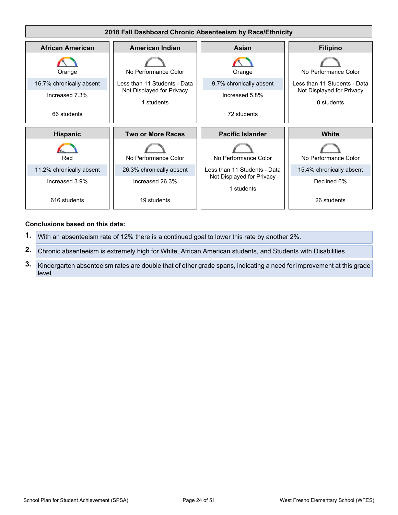

#### **Conclusions based on this data:**

- **1.** With an absenteeism rate of 12% there is a continued goal to lower this rate by another 2%.
- **2.** Chronic absenteeism is extremely high for White, African American students, and Students with Disabilities.
- **3.** Kindergarten absenteeism rates are double that of other grade spans, indicating a need for improvement at this grade level.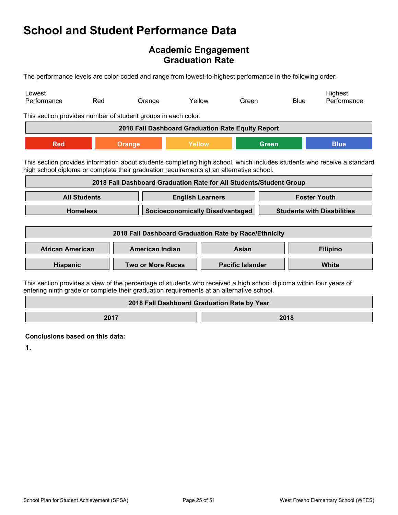## **Academic Engagement Graduation Rate**

The performance levels are color-coded and range from lowest-to-highest performance in the following order:

| Lowest<br>Performance                                                                                                                                                                                          | Red                                                                                                                                                                                                                | Orange                                            |        | Yellow | Green                   |                                   | <b>Blue</b> | Highest<br>Performance |
|----------------------------------------------------------------------------------------------------------------------------------------------------------------------------------------------------------------|--------------------------------------------------------------------------------------------------------------------------------------------------------------------------------------------------------------------|---------------------------------------------------|--------|--------|-------------------------|-----------------------------------|-------------|------------------------|
| This section provides number of student groups in each color.                                                                                                                                                  |                                                                                                                                                                                                                    |                                                   |        |        |                         |                                   |             |                        |
|                                                                                                                                                                                                                |                                                                                                                                                                                                                    | 2018 Fall Dashboard Graduation Rate Equity Report |        |        |                         |                                   |             |                        |
| <b>Red</b>                                                                                                                                                                                                     |                                                                                                                                                                                                                    | <b>Orange</b>                                     | Yellow |        |                         | <b>Green</b>                      |             | <b>Blue</b>            |
|                                                                                                                                                                                                                | This section provides information about students completing high school, which includes students who receive a standard<br>high school diploma or complete their graduation requirements at an alternative school. |                                                   |        |        |                         |                                   |             |                        |
|                                                                                                                                                                                                                | 2018 Fall Dashboard Graduation Rate for All Students/Student Group                                                                                                                                                 |                                                   |        |        |                         |                                   |             |                        |
|                                                                                                                                                                                                                | <b>All Students</b><br><b>Foster Youth</b><br><b>English Learners</b>                                                                                                                                              |                                                   |        |        |                         |                                   |             |                        |
| <b>Homeless</b><br><b>Socioeconomically Disadvantaged</b>                                                                                                                                                      |                                                                                                                                                                                                                    |                                                   |        |        |                         | <b>Students with Disabilities</b> |             |                        |
| 2018 Fall Dashboard Graduation Rate by Race/Ethnicity                                                                                                                                                          |                                                                                                                                                                                                                    |                                                   |        |        |                         |                                   |             |                        |
| <b>African American</b>                                                                                                                                                                                        |                                                                                                                                                                                                                    | <b>American Indian</b>                            |        |        | Asian                   |                                   |             | <b>Filipino</b>        |
| Hispanic                                                                                                                                                                                                       |                                                                                                                                                                                                                    | <b>Two or More Races</b>                          |        |        | <b>Pacific Islander</b> |                                   |             | White                  |
| This section provides a view of the percentage of students who received a high school diploma within four years of<br>entering ninth grade or complete their graduation requirements at an alternative school. |                                                                                                                                                                                                                    |                                                   |        |        |                         |                                   |             |                        |
| 2018 Fall Dashboard Graduation Rate by Year                                                                                                                                                                    |                                                                                                                                                                                                                    |                                                   |        |        |                         |                                   |             |                        |

**2017 2018** 

**Conclusions based on this data:**

**1.**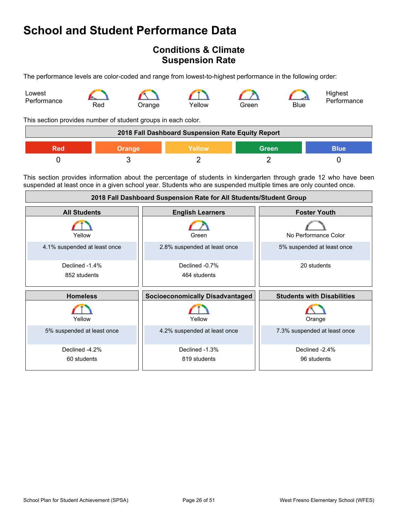## <span id="page-25-0"></span>**Conditions & Climate Suspension Rate**

The performance levels are color-coded and range from lowest-to-highest performance in the following order:



This section provides number of student groups in each color.

| 2018 Fall Dashboard Suspension Rate Equity Report |               |         |       |             |
|---------------------------------------------------|---------------|---------|-------|-------------|
| Red                                               | <b>Orange</b> | Yellow\ | Green | <b>Blue</b> |
|                                                   |               |         |       |             |

This section provides information about the percentage of students in kindergarten through grade 12 who have been suspended at least once in a given school year. Students who are suspended multiple times are only counted once.

| 2018 Fall Dashboard Suspension Rate for All Students/Student Group |                                        |                                   |  |  |
|--------------------------------------------------------------------|----------------------------------------|-----------------------------------|--|--|
| <b>All Students</b>                                                | <b>English Learners</b>                | <b>Foster Youth</b>               |  |  |
| Yellow                                                             | Green                                  | No Performance Color              |  |  |
| 4.1% suspended at least once                                       | 2.8% suspended at least once           | 5% suspended at least once        |  |  |
| Declined -1.4%<br>852 students                                     | Declined -0.7%<br>464 students         | 20 students                       |  |  |
| <b>Homeless</b>                                                    | <b>Socioeconomically Disadvantaged</b> | <b>Students with Disabilities</b> |  |  |
| Yellow                                                             | Yellow                                 | Orange                            |  |  |
| 5% suspended at least once                                         | 4.2% suspended at least once           | 7.3% suspended at least once      |  |  |
| Declined -4.2%<br>60 students                                      | Declined -1.3%<br>819 students         | Declined -2.4%<br>96 students     |  |  |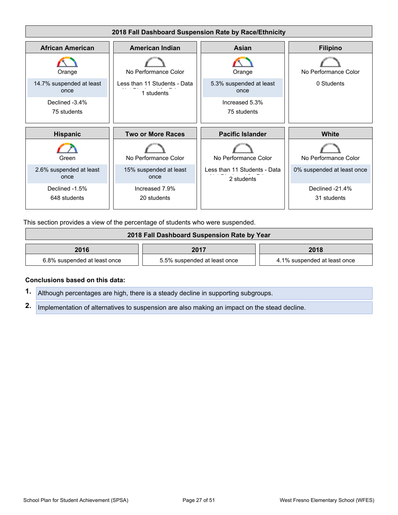

This section provides a view of the percentage of students who were suspended.

| 2018 Fall Dashboard Suspension Rate by Year |                              |                              |  |  |
|---------------------------------------------|------------------------------|------------------------------|--|--|
| 2016<br>2017<br>2018                        |                              |                              |  |  |
| 6.8% suspended at least once                | 5.5% suspended at least once | 4.1% suspended at least once |  |  |

#### **Conclusions based on this data:**

**1.** Although percentages are high, there is a steady decline in supporting subgroups.

**2.** Implementation of alternatives to suspension are also making an impact on the stead decline.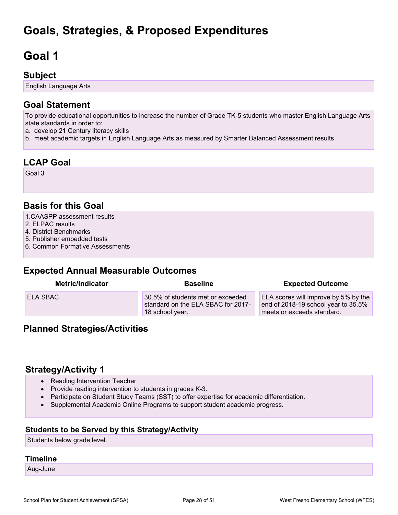## <span id="page-27-0"></span>**Goals, Strategies, & Proposed Expenditures**

# <span id="page-27-1"></span>**Goal 1**

## **Subject**

English Language Arts

## **Goal Statement**

To provide educational opportunities to increase the number of Grade TK-5 students who master English Language Arts state standards in order to:

- a. develop 21 Century literacy skills
- b. meet academic targets in English Language Arts as measured by Smarter Balanced Assessment results

## **LCAP Goal**

Goal 3

## **Basis for this Goal**

- 1.CAASPP assessment results
- 2. ELPAC results
- 4. District Benchmarks
- 5. Publisher embedded tests
- 6. Common Formative Assessments

### **Expected Annual Measurable Outcomes**

| <b>Metric/Indicator</b> | <b>Baseline</b>                                                                            | <b>Expected Outcome</b>                                                                                   |
|-------------------------|--------------------------------------------------------------------------------------------|-----------------------------------------------------------------------------------------------------------|
| <b>ELA SBAC</b>         | 30.5% of students met or exceeded<br>standard on the ELA SBAC for 2017-<br>18 school year. | ELA scores will improve by 5% by the<br>end of 2018-19 school year to 35.5%<br>meets or exceeds standard. |

### **Planned Strategies/Activities**

### **Strategy/Activity 1**

- Reading Intervention Teacher
- Provide reading intervention to students in grades K-3.
- Participate on Student Study Teams (SST) to offer expertise for academic differentiation.
- Supplemental Academic Online Programs to support student academic progress.

#### **Students to be Served by this Strategy/Activity**

Students below grade level.

#### **Timeline**

Aug-June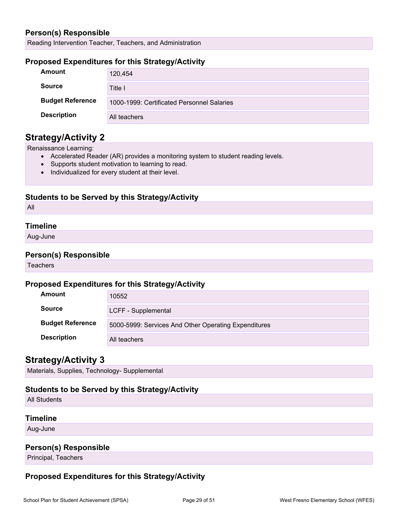### **Person(s) Responsible**

Reading Intervention Teacher, Teachers, and Administration

#### **Proposed Expenditures for this Strategy/Activity**

| Amount                  | 120,454                                    |
|-------------------------|--------------------------------------------|
| <b>Source</b>           | Title I                                    |
| <b>Budget Reference</b> | 1000-1999: Certificated Personnel Salaries |
| <b>Description</b>      | All teachers                               |

### **Strategy/Activity 2**

Renaissance Learning:

- Accelerated Reader (AR) provides a monitoring system to student reading levels.
- Supports student motivation to learning to read.
- Individualized for every student at their level.

#### **Students to be Served by this Strategy/Activity**

All

#### **Timeline**

Aug-June

#### **Person(s) Responsible**

**Teachers** 

#### **Proposed Expenditures for this Strategy/Activity**

| Amount                  | 10552                                                |
|-------------------------|------------------------------------------------------|
| <b>Source</b>           | LCFF - Supplemental                                  |
| <b>Budget Reference</b> | 5000-5999: Services And Other Operating Expenditures |
| <b>Description</b>      | All teachers                                         |

### **Strategy/Activity 3**

Materials, Supplies, Technology- Supplemental

### **Students to be Served by this Strategy/Activity**

All Students

### **Timeline**

Aug-June

### **Person(s) Responsible**

Principal, Teachers

### **Proposed Expenditures for this Strategy/Activity**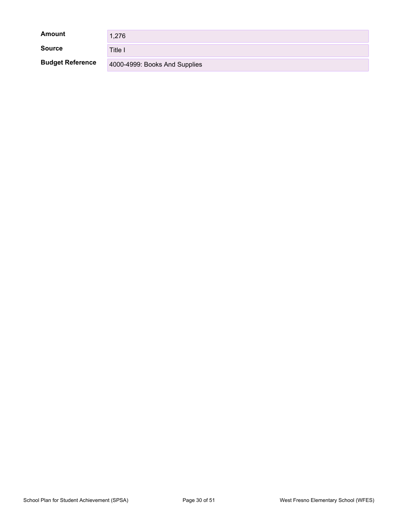| <b>Amount</b>           | 1,276                         |
|-------------------------|-------------------------------|
| <b>Source</b>           | Title I                       |
| <b>Budget Reference</b> | 4000-4999: Books And Supplies |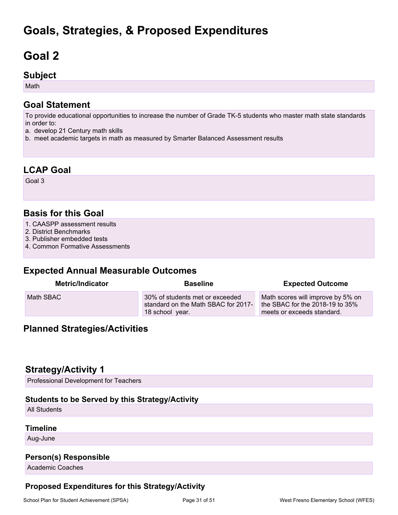## **Goals, Strategies, & Proposed Expenditures**

## <span id="page-30-0"></span>**Goal 2**

### **Subject**

Math

## **Goal Statement**

To provide educational opportunities to increase the number of Grade TK-5 students who master math state standards in order to:

- a. develop 21 Century math skills
- b. meet academic targets in math as measured by Smarter Balanced Assessment results

## **LCAP Goal**

Goal 3

## **Basis for this Goal**

- 1. CAASPP assessment results
- 2. District Benchmarks
- 3. Publisher embedded tests
- 4. Common Formative Assessments

## **Expected Annual Measurable Outcomes**

| <b>Metric/Indicator</b> | <b>Baseline</b>                                                                           | <b>Expected Outcome</b>                                                                            |
|-------------------------|-------------------------------------------------------------------------------------------|----------------------------------------------------------------------------------------------------|
| Math SBAC               | 30% of students met or exceeded<br>standard on the Math SBAC for 2017-<br>18 school year. | Math scores will improve by 5% on<br>the SBAC for the 2018-19 to 35%<br>meets or exceeds standard. |

## **Planned Strategies/Activities**

## **Strategy/Activity 1**

Professional Development for Teachers

### **Students to be Served by this Strategy/Activity**

All Students

#### **Timeline**

Aug-June

### **Person(s) Responsible**

Academic Coaches

### **Proposed Expenditures for this Strategy/Activity**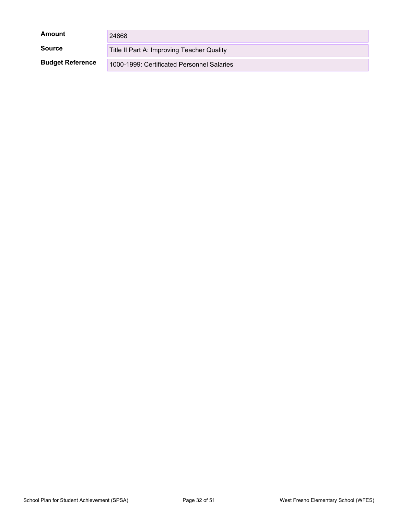| Amount                  | 24868                                      |
|-------------------------|--------------------------------------------|
| <b>Source</b>           | Title II Part A: Improving Teacher Quality |
| <b>Budget Reference</b> | 1000-1999: Certificated Personnel Salaries |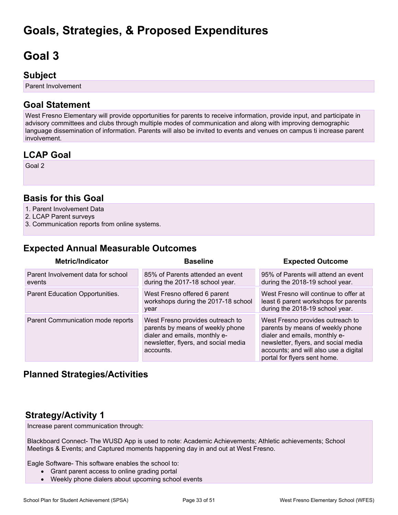## **Goals, Strategies, & Proposed Expenditures**

# <span id="page-32-0"></span>**Goal 3**

## **Subject**

Parent Involvement

## **Goal Statement**

West Fresno Elementary will provide opportunities for parents to receive information, provide input, and participate in advisory committees and clubs through multiple modes of communication and along with improving demographic language dissemination of information. Parents will also be invited to events and venues on campus ti increase parent involvement.

## **LCAP Goal**

Goal 2

## **Basis for this Goal**

- 1. Parent Involvement Data
- 2. LCAP Parent surveys
- 3. Communication reports from online systems.

## **Expected Annual Measurable Outcomes**

| <b>Metric/Indicator</b>                      | <b>Baseline</b>                                                                                                                                            | <b>Expected Outcome</b>                                                                                                                                                                                                |
|----------------------------------------------|------------------------------------------------------------------------------------------------------------------------------------------------------------|------------------------------------------------------------------------------------------------------------------------------------------------------------------------------------------------------------------------|
| Parent Involvement data for school<br>events | 85% of Parents attended an event<br>during the 2017-18 school year.                                                                                        | 95% of Parents will attend an event<br>during the 2018-19 school year.                                                                                                                                                 |
| Parent Education Opportunities.              | West Fresno offered 6 parent<br>workshops during the 2017-18 school<br>year                                                                                | West Fresno will continue to offer at<br>least 6 parent workshops for parents<br>during the 2018-19 school year.                                                                                                       |
| Parent Communication mode reports            | West Fresno provides outreach to<br>parents by means of weekly phone<br>dialer and emails, monthly e-<br>newsletter, flyers, and social media<br>accounts. | West Fresno provides outreach to<br>parents by means of weekly phone<br>dialer and emails, monthly e-<br>newsletter, flyers, and social media<br>accounts; and will also use a digital<br>portal for flyers sent home. |

## **Planned Strategies/Activities**

## **Strategy/Activity 1**

Increase parent communication through:

Blackboard Connect- The WUSD App is used to note: Academic Achievements; Athletic achievements; School Meetings & Events; and Captured moments happening day in and out at West Fresno.

Eagle Software- This software enables the school to:

- Grant parent access to online grading portal
- Weekly phone dialers about upcoming school events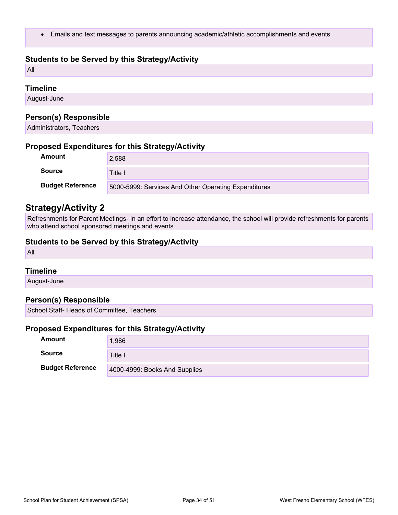Emails and text messages to parents announcing academic/athletic accomplishments and events

#### **Students to be Served by this Strategy/Activity**

All

#### **Timeline**

August-June

#### **Person(s) Responsible**

Administrators, Teachers

#### **Proposed Expenditures for this Strategy/Activity**

| Amount                  | 2,588                                                |
|-------------------------|------------------------------------------------------|
| <b>Source</b>           | Title I                                              |
| <b>Budget Reference</b> | 5000-5999: Services And Other Operating Expenditures |

### **Strategy/Activity 2**

Refreshments for Parent Meetings- In an effort to increase attendance, the school will provide refreshments for parents who attend school sponsored meetings and events.

#### **Students to be Served by this Strategy/Activity**

All

#### **Timeline**

August-June

#### **Person(s) Responsible**

School Staff- Heads of Committee, Teachers

#### **Proposed Expenditures for this Strategy/Activity**

| Amount                  | 1,986                         |
|-------------------------|-------------------------------|
| Source                  | Title l                       |
| <b>Budget Reference</b> | 4000-4999: Books And Supplies |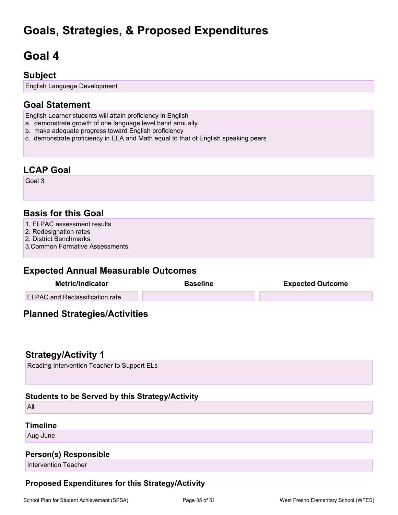## **Goals, Strategies, & Proposed Expenditures**

## <span id="page-34-0"></span>**Goal 4**

## **Subject**

English Language Development

## **Goal Statement**

- English Learner students will attain proficiency in English
- a. demonstrate growth of one language level band annually
- b. make adequate progress toward English proficiency
- c. demonstrate proficiency in ELA and Math equal to that of English speaking peers

### **LCAP Goal**

Goal 3

## **Basis for this Goal**

- 1. ELPAC assessment results
- 2. Redesignation rates
- 2. District Benchmarks
- 3.Common Formative Assessments

## **Expected Annual Measurable Outcomes**

| Metric/Indicator                       | <b>Baseline</b> | <b>Expected Outcome</b> |  |
|----------------------------------------|-----------------|-------------------------|--|
| <b>ELPAC and Reclassification rate</b> |                 |                         |  |

## **Planned Strategies/Activities**

### **Strategy/Activity 1**

Reading Intervention Teacher to Support ELs

### **Students to be Served by this Strategy/Activity**

All

#### **Timeline**

Aug-June

#### **Person(s) Responsible**

Intervention Teacher

### **Proposed Expenditures for this Strategy/Activity**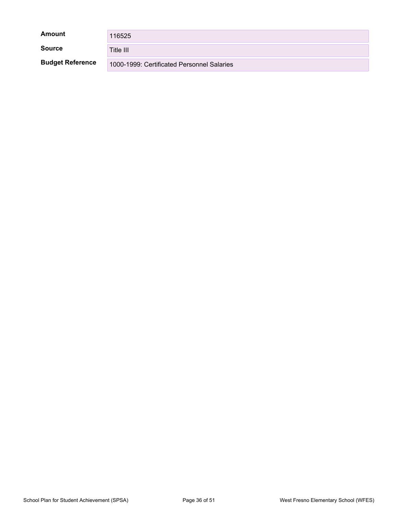| Amount                  | 116525                                     |
|-------------------------|--------------------------------------------|
| <b>Source</b>           | Title III                                  |
| <b>Budget Reference</b> | 1000-1999: Certificated Personnel Salaries |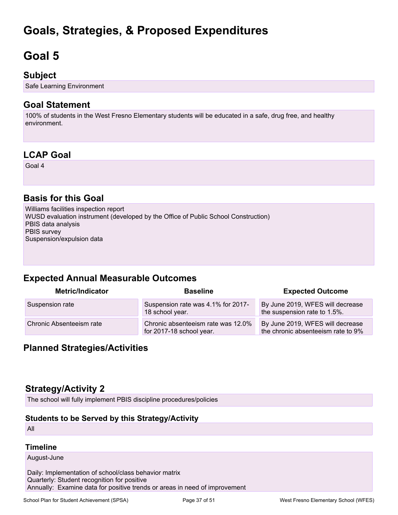## **Goals, Strategies, & Proposed Expenditures**

## <span id="page-36-0"></span>**Goal 5**

## **Subject**

Safe Learning Environment

## **Goal Statement**

100% of students in the West Fresno Elementary students will be educated in a safe, drug free, and healthy environment.

## **LCAP Goal**

Goal 4

## **Basis for this Goal**

Williams facilities inspection report WUSD evaluation instrument (developed by the Office of Public School Construction) PBIS data analysis PBIS survey Suspension/expulsion data

## **Expected Annual Measurable Outcomes**

| <b>Metric/Indicator</b>  | <b>Baseline</b>                                                | <b>Expected Outcome</b>                                                |
|--------------------------|----------------------------------------------------------------|------------------------------------------------------------------------|
| Suspension rate          | Suspension rate was 4.1% for 2017-<br>18 school year.          | By June 2019, WFES will decrease<br>the suspension rate to 1.5%.       |
| Chronic Absenteeism rate | Chronic absenteeism rate was 12.0%<br>for 2017-18 school year. | By June 2019, WFES will decrease<br>the chronic absenteeism rate to 9% |

## **Planned Strategies/Activities**

## **Strategy/Activity 2**

The school will fully implement PBIS discipline procedures/policies

### **Students to be Served by this Strategy/Activity**

All

#### **Timeline**

August-June

Daily: Implementation of school/class behavior matrix Quarterly: Student recognition for positive Annually: Examine data for positive trends or areas in need of improvement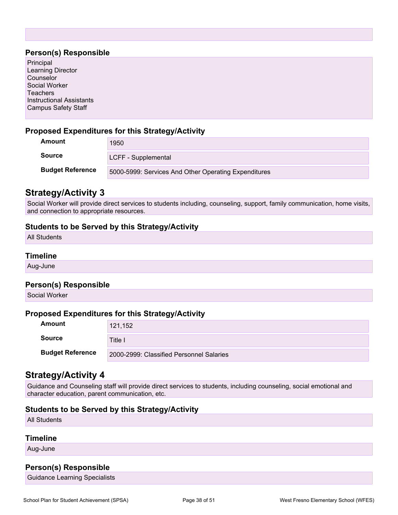#### **Person(s) Responsible**

| $\ldots$                        |  |
|---------------------------------|--|
| Principal                       |  |
| Learning Director               |  |
| Counselor                       |  |
| Social Worker                   |  |
| <b>Teachers</b>                 |  |
| <b>Instructional Assistants</b> |  |
| <b>Campus Safety Staff</b>      |  |
|                                 |  |

#### **Proposed Expenditures for this Strategy/Activity**

| Amount                  | 1950                                                 |
|-------------------------|------------------------------------------------------|
| <b>Source</b>           | LCFF - Supplemental                                  |
| <b>Budget Reference</b> | 5000-5999: Services And Other Operating Expenditures |

### **Strategy/Activity 3**

Social Worker will provide direct services to students including, counseling, support, family communication, home visits, and connection to appropriate resources.

#### **Students to be Served by this Strategy/Activity**

All Students

#### **Timeline**

Aug-June

#### **Person(s) Responsible**

Social Worker

#### **Proposed Expenditures for this Strategy/Activity**

| <b>Amount</b>           | 121,152                                  |
|-------------------------|------------------------------------------|
| <b>Source</b>           | Title I                                  |
| <b>Budget Reference</b> | 2000-2999: Classified Personnel Salaries |

### **Strategy/Activity 4**

Guidance and Counseling staff will provide direct services to students, including counseling, social emotional and character education, parent communication, etc.

#### **Students to be Served by this Strategy/Activity**

All Students

#### **Timeline**

Aug-June

#### **Person(s) Responsible**

Guidance Learning Specialists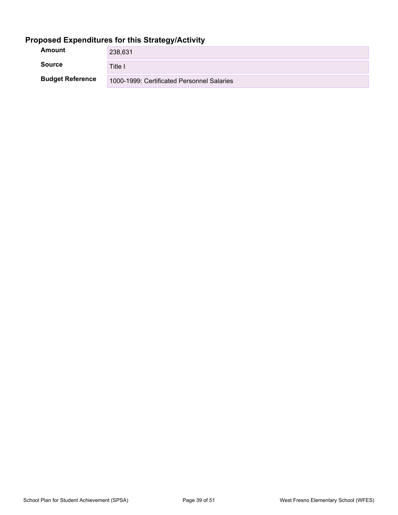## **Proposed Expenditures for this Strategy/Activity**

| Amount                  | 238,631                                    |
|-------------------------|--------------------------------------------|
| <b>Source</b>           | Title I                                    |
| <b>Budget Reference</b> | 1000-1999: Certificated Personnel Salaries |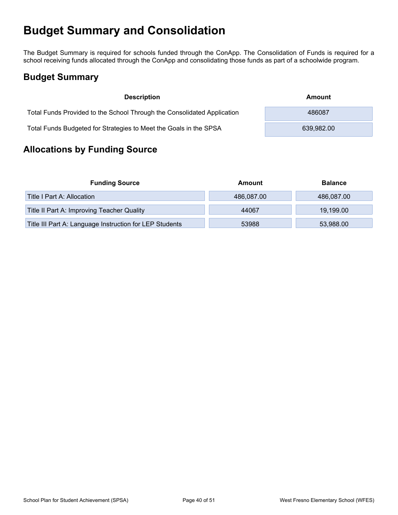## <span id="page-39-0"></span>**Budget Summary and Consolidation**

The Budget Summary is required for schools funded through the ConApp. The Consolidation of Funds is required for a school receiving funds allocated through the ConApp and consolidating those funds as part of a schoolwide program.

## <span id="page-39-1"></span>**Budget Summary**

| <b>Description</b>                                                      | Amount     |
|-------------------------------------------------------------------------|------------|
| Total Funds Provided to the School Through the Consolidated Application | 486087     |
| Total Funds Budgeted for Strategies to Meet the Goals in the SPSA       | 639.982.00 |

## <span id="page-39-2"></span>**Allocations by Funding Source**

| <b>Funding Source</b>                                   | Amount     | <b>Balance</b> |
|---------------------------------------------------------|------------|----------------|
| Title I Part A: Allocation                              | 486,087.00 | 486,087.00     |
| Title II Part A: Improving Teacher Quality              | 44067      | 19,199.00      |
| Title III Part A: Language Instruction for LEP Students | 53988      | 53,988.00      |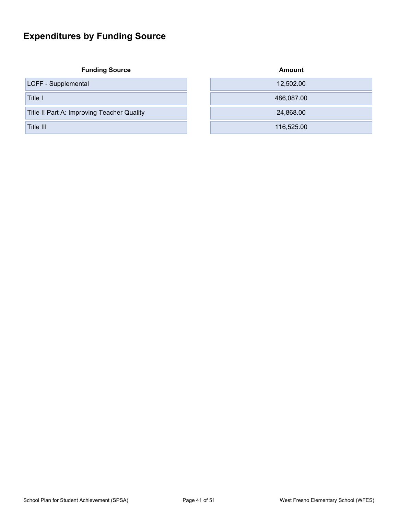## <span id="page-40-0"></span>**Expenditures by Funding Source**

|  | <b>Funding Source</b> |  |
|--|-----------------------|--|
|  |                       |  |

| <b>Funding Source</b>                      | <b>Amount</b> |
|--------------------------------------------|---------------|
| LCFF - Supplemental                        | 12,502.00     |
| Title I                                    | 486,087.00    |
| Title II Part A: Improving Teacher Quality | 24,868.00     |
| Title III.                                 | 116,525.00    |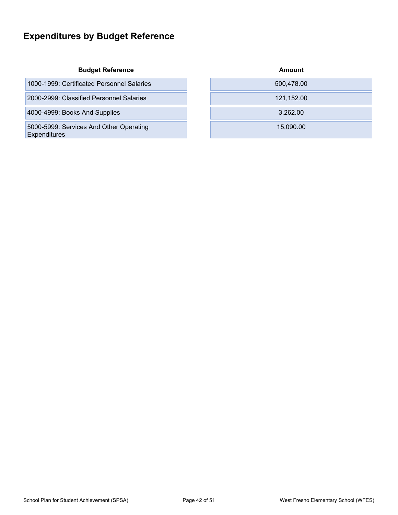## <span id="page-41-0"></span>**Expenditures by Budget Reference**

#### **Budget Reference**

| 1000-1999: Certificated Personnel Salaries | 500,478.00 |
|--------------------------------------------|------------|
|                                            |            |

2000-2999: Classified Personnel Salaries

4000-4999: Books And Supplies

5000-5999: Services And Other Operating Expenditures

| Amount     |  |
|------------|--|
| 500,478.00 |  |
| 121,152.00 |  |
| 3,262.00   |  |
| 15,090.00  |  |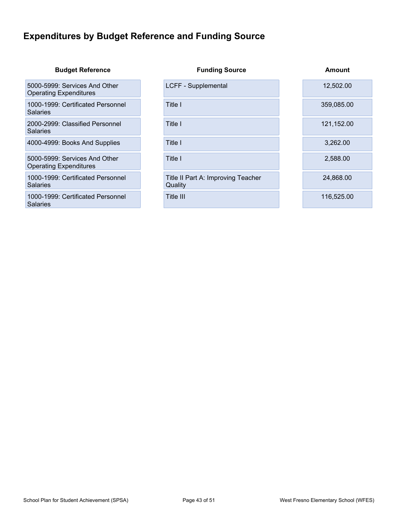## <span id="page-42-0"></span>**Expenditures by Budget Reference and Funding Source**

#### **Budget Reference Funding Source Amount**

5000-5999: Services And Other Operating Expenditures

1000-1999: Certificated Personnel **Salaries** 

2000-2999: Classified Personnel **Salaries** 

And Account 2000-4999: Books And Supplies Title I and Title I and Title I and Title I and Title I and Title I and Title I and Title I and Title I and Title I and Title I and Title I and Title I and Title I and Title I and

5000-5999: Services And Other Operating Expenditures

1000-1999: Certificated Personnel **Salaries** 

1000-1999: Certificated Personnel **Salaries** 

Title II Part A: Improving Teacher

**Quality** 

#### LCFF - Supplemental 12,502.00

**Title I** 359,085.00

**Title I** 121,152.00

Title I 2,588.00

24,868.00

**Title III** 116,525.00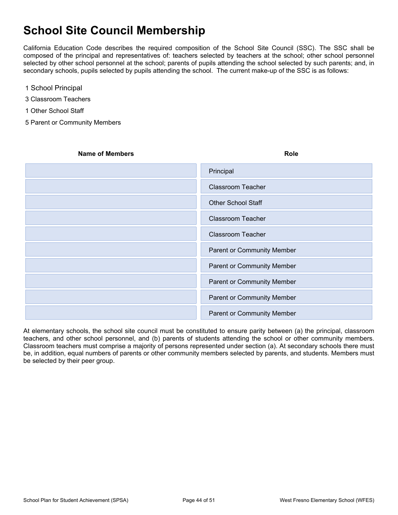## <span id="page-43-0"></span>**School Site Council Membership**

California Education Code describes the required composition of the School Site Council (SSC). The SSC shall be composed of the principal and representatives of: teachers selected by teachers at the school; other school personnel selected by other school personnel at the school; parents of pupils attending the school selected by such parents; and, in secondary schools, pupils selected by pupils attending the school. The current make-up of the SSC is as follows:

- 1 School Principal
- 3 Classroom Teachers
- 1 Other School Staff
- 5 Parent or Community Members

| <b>Name of Members</b> | <b>Role</b>                       |
|------------------------|-----------------------------------|
|                        | Principal                         |
|                        | <b>Classroom Teacher</b>          |
|                        | <b>Other School Staff</b>         |
|                        | <b>Classroom Teacher</b>          |
|                        | <b>Classroom Teacher</b>          |
|                        | <b>Parent or Community Member</b> |
|                        | Parent or Community Member        |
|                        | <b>Parent or Community Member</b> |
|                        | <b>Parent or Community Member</b> |
|                        | Parent or Community Member        |

At elementary schools, the school site council must be constituted to ensure parity between (a) the principal, classroom teachers, and other school personnel, and (b) parents of students attending the school or other community members. Classroom teachers must comprise a majority of persons represented under section (a). At secondary schools there must be, in addition, equal numbers of parents or other community members selected by parents, and students. Members must be selected by their peer group.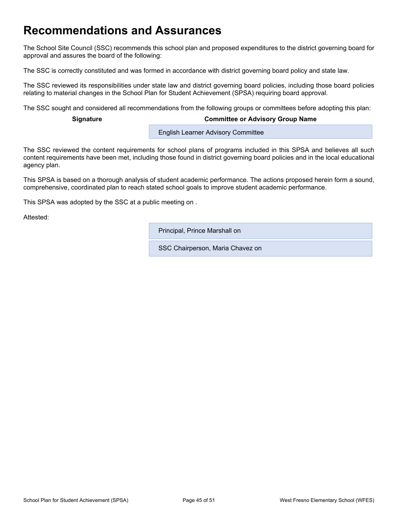## <span id="page-44-0"></span>**Recommendations and Assurances**

The School Site Council (SSC) recommends this school plan and proposed expenditures to the district governing board for approval and assures the board of the following:

The SSC is correctly constituted and was formed in accordance with district governing board policy and state law.

The SSC reviewed its responsibilities under state law and district governing board policies, including those board policies relating to material changes in the School Plan for Student Achievement (SPSA) requiring board approval.

The SSC sought and considered all recommendations from the following groups or committees before adopting this plan:

#### **Signature Committee or Advisory Group Name**

**English Learner Advisory Committee** 

The SSC reviewed the content requirements for school plans of programs included in this SPSA and believes all such content requirements have been met, including those found in district governing board policies and in the local educational agency plan.

This SPSA is based on a thorough analysis of student academic performance. The actions proposed herein form a sound, comprehensive, coordinated plan to reach stated school goals to improve student academic performance.

This SPSA was adopted by the SSC at a public meeting on .

Attested:

Principal, Prince Marshall on

SSC Chairperson, Maria Chavez on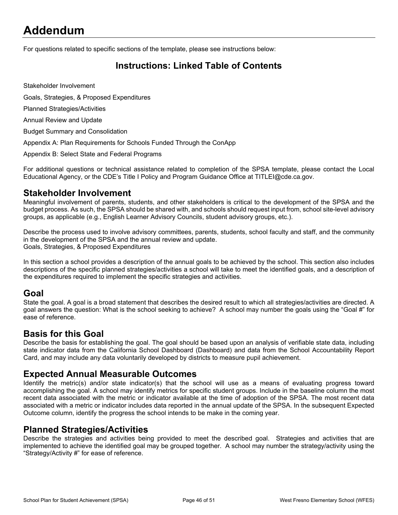## <span id="page-45-0"></span>**Addendum**

For questions related to specific sections of the template, please see instructions below:

## <span id="page-45-1"></span>**Instructions: Linked Table of Contents**

Stakeholder Involvement

Goals, Strategies, & Proposed Expenditures

Planned Strategies/Activities

Annual Review and Update

Budget Summary and Consolidation

Appendix A: Plan Requirements for Schools Funded Through the ConApp

Appendix B: Select State and Federal Programs

For additional questions or technical assistance related to completion of the SPSA template, please contact the Local Educational Agency, or the CDE's Title I Policy and Program Guidance Office at TITLEI@cde.ca.gov.

### **Stakeholder Involvement**

Meaningful involvement of parents, students, and other stakeholders is critical to the development of the SPSA and the budget process. As such, the SPSA should be shared with, and schools should request input from, school site-level advisory groups, as applicable (e.g., English Learner Advisory Councils, student advisory groups, etc.).

Describe the process used to involve advisory committees, parents, students, school faculty and staff, and the community in the development of the SPSA and the annual review and update. Goals, Strategies, & Proposed Expenditures

In this section a school provides a description of the annual goals to be achieved by the school. This section also includes descriptions of the specific planned strategies/activities a school will take to meet the identified goals, and a description of the expenditures required to implement the specific strategies and activities.

### **Goal**

State the goal. A goal is a broad statement that describes the desired result to which all strategies/activities are directed. A goal answers the question: What is the school seeking to achieve? A school may number the goals using the "Goal #" for ease of reference.

### **Basis for this Goal**

Describe the basis for establishing the goal. The goal should be based upon an analysis of verifiable state data, including state indicator data from the California School Dashboard (Dashboard) and data from the School Accountability Report Card, and may include any data voluntarily developed by districts to measure pupil achievement.

### **Expected Annual Measurable Outcomes**

Identify the metric(s) and/or state indicator(s) that the school will use as a means of evaluating progress toward accomplishing the goal. A school may identify metrics for specific student groups. Include in the baseline column the most recent data associated with the metric or indicator available at the time of adoption of the SPSA. The most recent data associated with a metric or indicator includes data reported in the annual update of the SPSA. In the subsequent Expected Outcome column, identify the progress the school intends to be make in the coming year.

### **Planned Strategies/Activities**

Describe the strategies and activities being provided to meet the described goal. Strategies and activities that are implemented to achieve the identified goal may be grouped together. A school may number the strategy/activity using the "Strategy/Activity #" for ease of reference.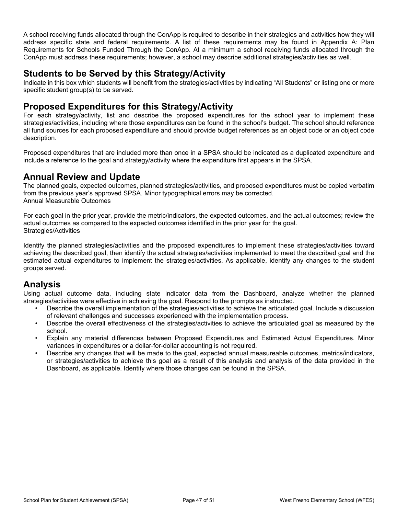A school receiving funds allocated through the ConApp is required to describe in their strategies and activities how they will address specific state and federal requirements. A list of these requirements may be found in Appendix A: Plan Requirements for Schools Funded Through the ConApp. At a minimum a school receiving funds allocated through the ConApp must address these requirements; however, a school may describe additional strategies/activities as well.

### **Students to be Served by this Strategy/Activity**

Indicate in this box which students will benefit from the strategies/activities by indicating "All Students" or listing one or more specific student group(s) to be served.

### **Proposed Expenditures for this Strategy/Activity**

For each strategy/activity, list and describe the proposed expenditures for the school year to implement these strategies/activities, including where those expenditures can be found in the school's budget. The school should reference all fund sources for each proposed expenditure and should provide budget references as an object code or an object code description.

Proposed expenditures that are included more than once in a SPSA should be indicated as a duplicated expenditure and include a reference to the goal and strategy/activity where the expenditure first appears in the SPSA.

## **Annual Review and Update**

The planned goals, expected outcomes, planned strategies/activities, and proposed expenditures must be copied verbatim from the previous year's approved SPSA. Minor typographical errors may be corrected. Annual Measurable Outcomes

For each goal in the prior year, provide the metric/indicators, the expected outcomes, and the actual outcomes; review the actual outcomes as compared to the expected outcomes identified in the prior year for the goal. Strategies/Activities

Identify the planned strategies/activities and the proposed expenditures to implement these strategies/activities toward achieving the described goal, then identify the actual strategies/activities implemented to meet the described goal and the estimated actual expenditures to implement the strategies/activities. As applicable, identify any changes to the student groups served.

## **Analysis**

Using actual outcome data, including state indicator data from the Dashboard, analyze whether the planned strategies/activities were effective in achieving the goal. Respond to the prompts as instructed.

- Describe the overall implementation of the strategies/activities to achieve the articulated goal. Include a discussion of relevant challenges and successes experienced with the implementation process.
- Describe the overall effectiveness of the strategies/activities to achieve the articulated goal as measured by the school.
- Explain any material differences between Proposed Expenditures and Estimated Actual Expenditures. Minor variances in expenditures or a dollar-for-dollar accounting is not required.
- Describe any changes that will be made to the goal, expected annual measureable outcomes, metrics/indicators, or strategies/activities to achieve this goal as a result of this analysis and analysis of the data provided in the Dashboard, as applicable. Identify where those changes can be found in the SPSA.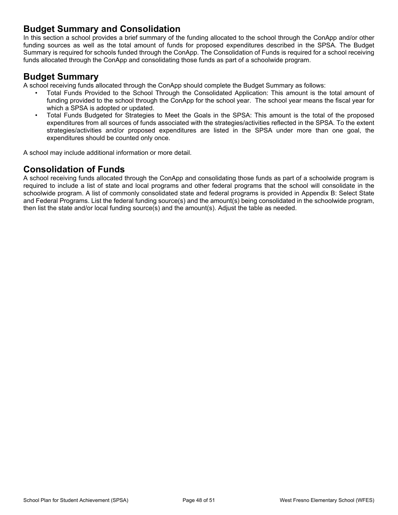### **Budget Summary and Consolidation**

In this section a school provides a brief summary of the funding allocated to the school through the ConApp and/or other funding sources as well as the total amount of funds for proposed expenditures described in the SPSA. The Budget Summary is required for schools funded through the ConApp. The Consolidation of Funds is required for a school receiving funds allocated through the ConApp and consolidating those funds as part of a schoolwide program.

### **Budget Summary**

A school receiving funds allocated through the ConApp should complete the Budget Summary as follows:

- Total Funds Provided to the School Through the Consolidated Application: This amount is the total amount of funding provided to the school through the ConApp for the school year. The school year means the fiscal year for which a SPSA is adopted or updated.
- Total Funds Budgeted for Strategies to Meet the Goals in the SPSA: This amount is the total of the proposed expenditures from all sources of funds associated with the strategies/activities reflected in the SPSA. To the extent strategies/activities and/or proposed expenditures are listed in the SPSA under more than one goal, the expenditures should be counted only once.

A school may include additional information or more detail.

## **Consolidation of Funds**

A school receiving funds allocated through the ConApp and consolidating those funds as part of a schoolwide program is required to include a list of state and local programs and other federal programs that the school will consolidate in the schoolwide program. A list of commonly consolidated state and federal programs is provided in Appendix B: Select State and Federal Programs. List the federal funding source(s) and the amount(s) being consolidated in the schoolwide program, then list the state and/or local funding source(s) and the amount(s). Adjust the table as needed.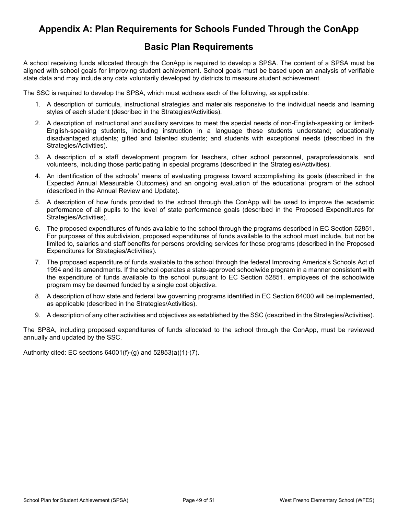## <span id="page-48-0"></span>**Appendix A: Plan Requirements for Schools Funded Through the ConApp**

## **Basic Plan Requirements**

A school receiving funds allocated through the ConApp is required to develop a SPSA. The content of a SPSA must be aligned with school goals for improving student achievement. School goals must be based upon an analysis of verifiable state data and may include any data voluntarily developed by districts to measure student achievement.

The SSC is required to develop the SPSA, which must address each of the following, as applicable:

- 1. A description of curricula, instructional strategies and materials responsive to the individual needs and learning styles of each student (described in the Strategies/Activities).
- 2. A description of instructional and auxiliary services to meet the special needs of non-English-speaking or limited-English-speaking students, including instruction in a language these students understand; educationally disadvantaged students; gifted and talented students; and students with exceptional needs (described in the Strategies/Activities).
- 3. A description of a staff development program for teachers, other school personnel, paraprofessionals, and volunteers, including those participating in special programs (described in the Strategies/Activities).
- 4. An identification of the schools' means of evaluating progress toward accomplishing its goals (described in the Expected Annual Measurable Outcomes) and an ongoing evaluation of the educational program of the school (described in the Annual Review and Update).
- 5. A description of how funds provided to the school through the ConApp will be used to improve the academic performance of all pupils to the level of state performance goals (described in the Proposed Expenditures for Strategies/Activities).
- 6. The proposed expenditures of funds available to the school through the programs described in EC Section 52851. For purposes of this subdivision, proposed expenditures of funds available to the school must include, but not be limited to, salaries and staff benefits for persons providing services for those programs (described in the Proposed Expenditures for Strategies/Activities).
- 7. The proposed expenditure of funds available to the school through the federal Improving America's Schools Act of 1994 and its amendments. If the school operates a state-approved schoolwide program in a manner consistent with the expenditure of funds available to the school pursuant to EC Section 52851, employees of the schoolwide program may be deemed funded by a single cost objective.
- 8. A description of how state and federal law governing programs identified in EC Section 64000 will be implemented, as applicable (described in the Strategies/Activities).
- 9. A description of any other activities and objectives as established by the SSC (described in the Strategies/Activities).

The SPSA, including proposed expenditures of funds allocated to the school through the ConApp, must be reviewed annually and updated by the SSC.

Authority cited: EC sections 64001(f)-(g) and 52853(a)(1)-(7).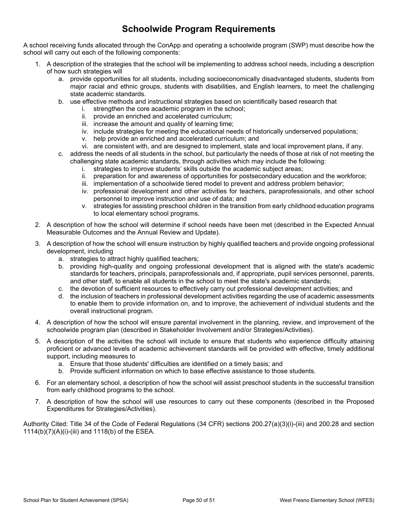## **Schoolwide Program Requirements**

A school receiving funds allocated through the ConApp and operating a schoolwide program (SWP) must describe how the school will carry out each of the following components:

- 1. A description of the strategies that the school will be implementing to address school needs, including a description of how such strategies will
	- a. provide opportunities for all students, including socioeconomically disadvantaged students, students from major racial and ethnic groups, students with disabilities, and English learners, to meet the challenging state academic standards.
	- b. use effective methods and instructional strategies based on scientifically based research that
		- i. strengthen the core academic program in the school;
		- ii. provide an enriched and accelerated curriculum;
		- iii. increase the amount and quality of learning time;
		- iv. include strategies for meeting the educational needs of historically underserved populations;
		- v. help provide an enriched and accelerated curriculum; and
		- vi. are consistent with, and are designed to implement, state and local improvement plans, if any.
	- c. address the needs of all students in the school, but particularly the needs of those at risk of not meeting the challenging state academic standards, through activities which may include the following:
		- i. strategies to improve students' skills outside the academic subject areas;
		- ii. preparation for and awareness of opportunities for postsecondary education and the workforce;
		- iii. implementation of a schoolwide tiered model to prevent and address problem behavior;
		- iv. professional development and other activities for teachers, paraprofessionals, and other school personnel to improve instruction and use of data; and
		- v. strategies for assisting preschool children in the transition from early childhood education programs to local elementary school programs.
- 2. A description of how the school will determine if school needs have been met (described in the Expected Annual Measurable Outcomes and the Annual Review and Update).
- 3. A description of how the school will ensure instruction by highly qualified teachers and provide ongoing professional development, including
	- a. strategies to attract highly qualified teachers;
	- b. providing high-quality and ongoing professional development that is aligned with the state's academic standards for teachers, principals, paraprofessionals and, if appropriate, pupil services personnel, parents, and other staff, to enable all students in the school to meet the state's academic standards;
	- c. the devotion of sufficient resources to effectively carry out professional development activities; and
	- d. the inclusion of teachers in professional development activities regarding the use of academic assessments to enable them to provide information on, and to improve, the achievement of individual students and the overall instructional program.
- 4. A description of how the school will ensure parental involvement in the planning, review, and improvement of the schoolwide program plan (described in Stakeholder Involvement and/or Strategies/Activities).
- 5. A description of the activities the school will include to ensure that students who experience difficulty attaining proficient or advanced levels of academic achievement standards will be provided with effective, timely additional support, including measures to
	- a. Ensure that those students' difficulties are identified on a timely basis; and
	- b. Provide sufficient information on which to base effective assistance to those students.
- 6. For an elementary school, a description of how the school will assist preschool students in the successful transition from early childhood programs to the school.
- 7. A description of how the school will use resources to carry out these components (described in the Proposed Expenditures for Strategies/Activities).

Authority Cited: Title 34 of the Code of Federal Regulations (34 CFR) sections 200.27(a)(3)(i)-(iii) and 200.28 and section 1114(b)(7)(A)(i)-(iii) and 1118(b) of the ESEA.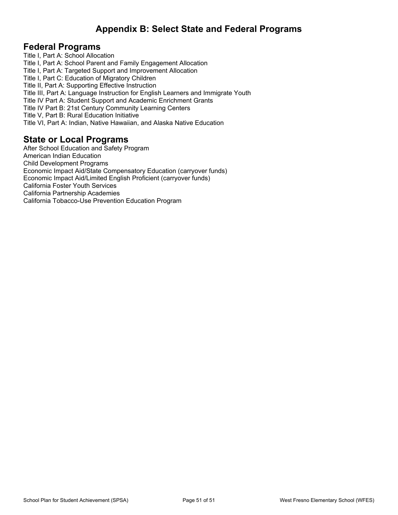## <span id="page-50-0"></span>**Appendix B: Select State and Federal Programs**

### **Federal Programs**

Title I, Part A: School Allocation Title I, Part A: School Parent and Family Engagement Allocation Title I, Part A: Targeted Support and Improvement Allocation Title I, Part C: Education of Migratory Children Title II, Part A: Supporting Effective Instruction Title III, Part A: Language Instruction for English Learners and Immigrate Youth Title IV Part A: Student Support and Academic Enrichment Grants Title IV Part B: 21st Century Community Learning Centers Title V, Part B: Rural Education Initiative Title VI, Part A: Indian, Native Hawaiian, and Alaska Native Education

### **State or Local Programs**

After School Education and Safety Program American Indian Education Child Development Programs Economic Impact Aid/State Compensatory Education (carryover funds) Economic Impact Aid/Limited English Proficient (carryover funds) California Foster Youth Services California Partnership Academies California Tobacco-Use Prevention Education Program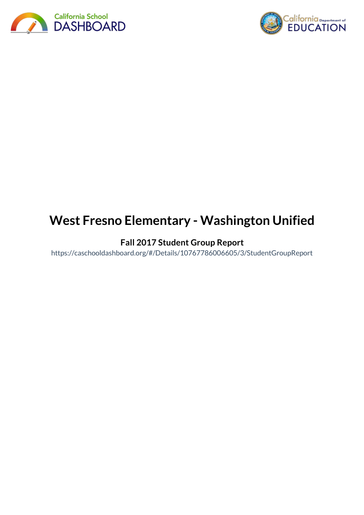



# **West Fresno Elementary - Washington Unified**

## **Fall 2017 Student Group Report**

https://caschooldashboard.org/#/Details/10767786006605/3/StudentGroupReport